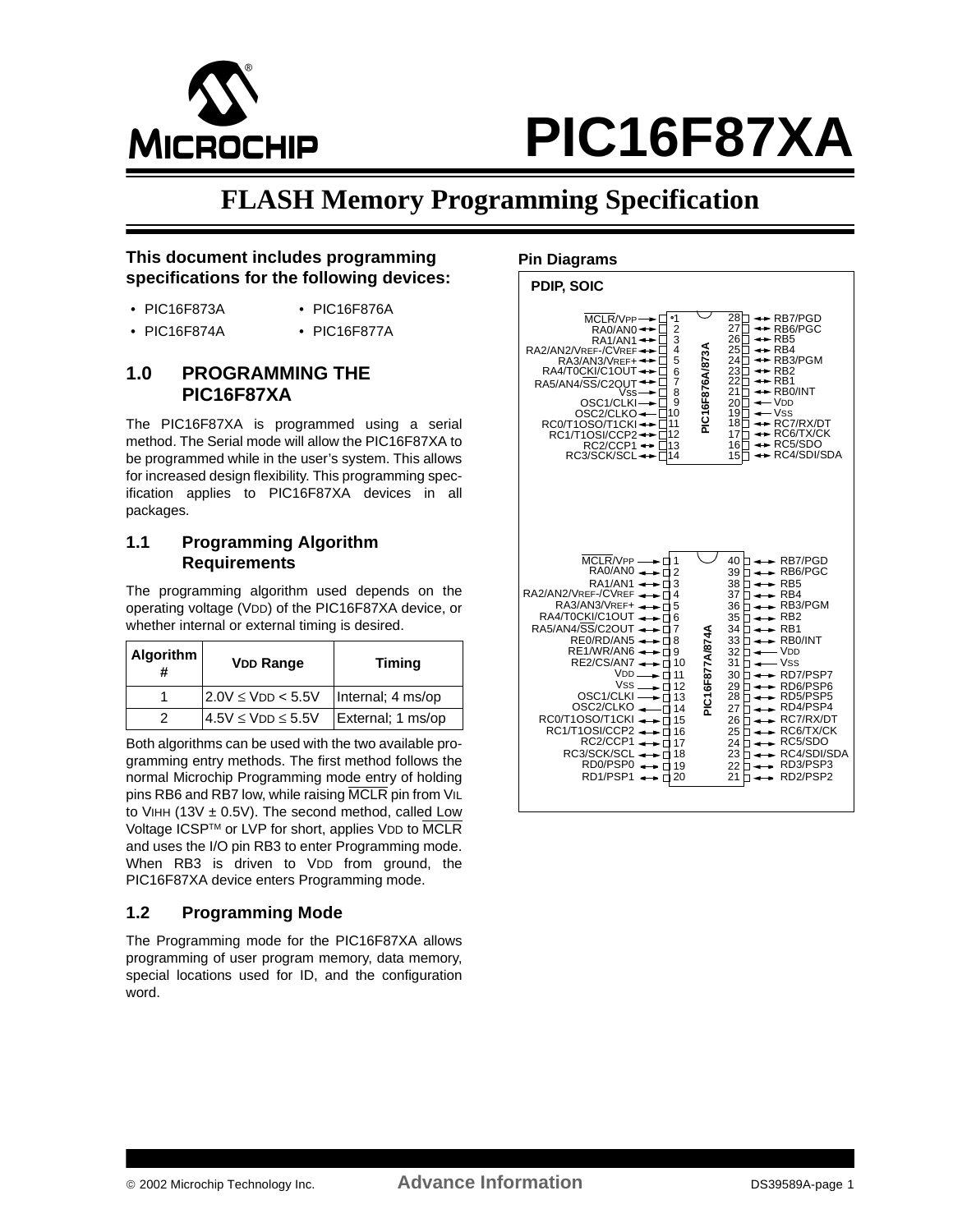

MICROCHIP **PIC16F87XA** 

# **FLASH Memory Programming Specification**

### **This document includes programming specifications for the following devices:**

- PIC16F873A PIC16F876A
- PIC16F874A PIC16F877A

# **1.0 PROGRAMMING THE PIC16F87XA**

The PIC16F87XA is programmed using a serial method. The Serial mode will allow the PIC16F87XA to be programmed while in the user's system. This allows for increased design flexibility. This programming specification applies to PIC16F87XA devices in all packages.

### **1.1 Programming Algorithm Requirements**

The programming algorithm used depends on the operating voltage (VDD) of the PIC16F87XA device, or whether internal or external timing is desired.

| <b>Algorithm</b> | <b>VDD Range</b>           | <b>Timing</b>     |
|------------------|----------------------------|-------------------|
|                  | $2.0$ V $\le$ VDD $<$ 5.5V | Internal; 4 ms/op |
| 2                | $4.5V \leq VDD \leq 5.5V$  | External; 1 ms/op |

Both algorithms can be used with the two available programming entry methods. The first method follows the normal Microchip Programming mode entry of holding pins RB6 and RB7 low, while raising MCLR pin from VIL to VIHH (13V  $\pm$  0.5V). The second method, called Low Voltage ICSP™ or LVP for short, applies VDD to MCLR and uses the I/O pin RB3 to enter Programming mode. When RB3 is driven to VDD from ground, the PIC16F87XA device enters Programming mode.

### **1.2 Programming Mode**

The Programming mode for the PIC16F87XA allows programming of user program memory, data memory, special locations used for ID, and the configuration word.

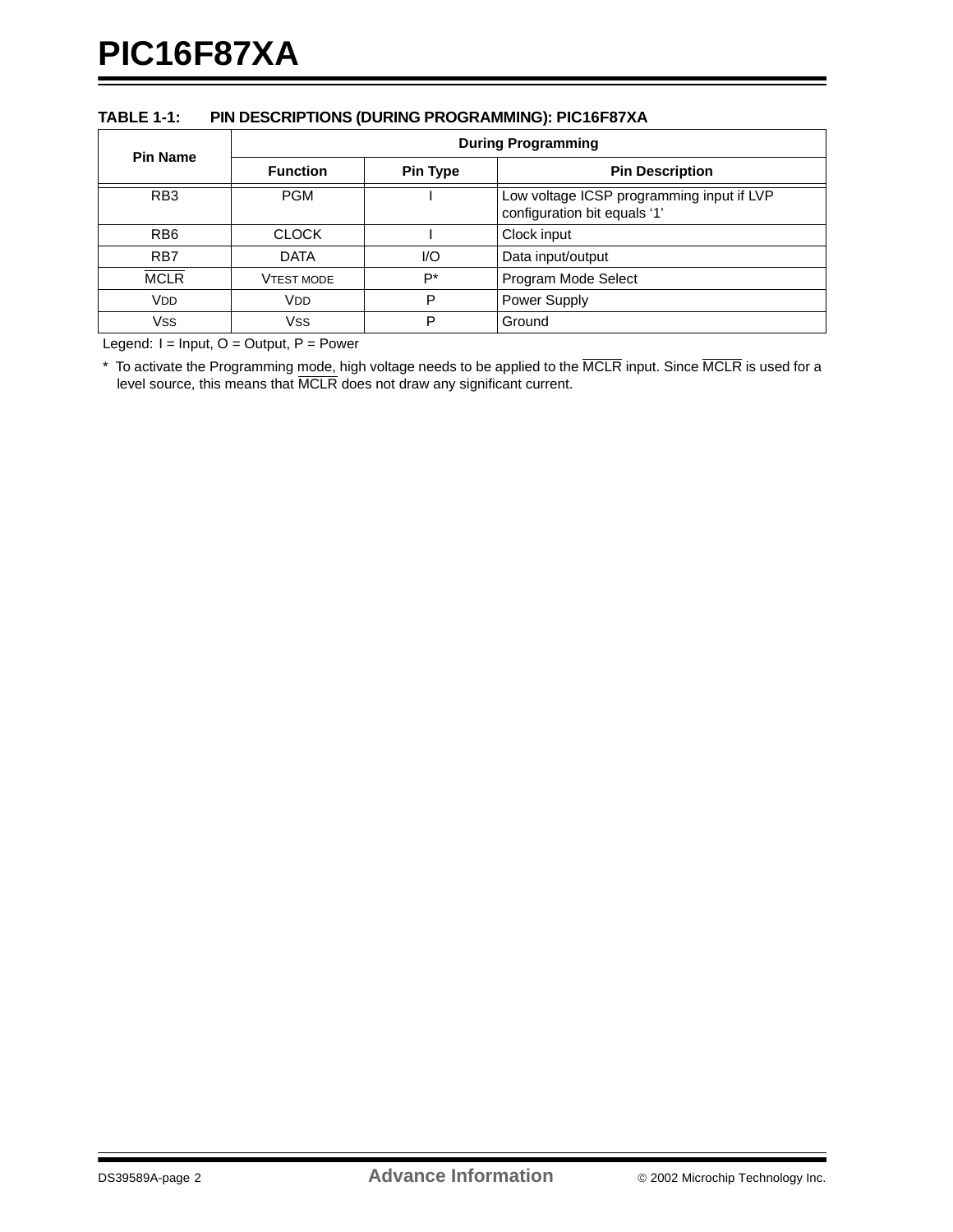## **TABLE 1-1: PIN DESCRIPTIONS (DURING PROGRAMMING): PIC16F87XA**

| <b>Pin Name</b>       | <b>During Programming</b>          |       |                                                                           |  |  |  |  |
|-----------------------|------------------------------------|-------|---------------------------------------------------------------------------|--|--|--|--|
|                       | <b>Function</b><br><b>Pin Type</b> |       | <b>Pin Description</b>                                                    |  |  |  |  |
| R <sub>B</sub> 3      | <b>PGM</b>                         |       | Low voltage ICSP programming input if LVP<br>configuration bit equals '1' |  |  |  |  |
| RB <sub>6</sub>       | <b>CLOCK</b>                       |       | Clock input                                                               |  |  |  |  |
| R <sub>B</sub> 7      | <b>DATA</b>                        | I/O   | Data input/output                                                         |  |  |  |  |
| <b>MCLR</b>           | <b>VTEST MODE</b>                  | $P^*$ | Program Mode Select                                                       |  |  |  |  |
| <b>V<sub>DD</sub></b> | <b>V<sub>DD</sub></b>              | P     | <b>Power Supply</b>                                                       |  |  |  |  |
| <b>VSS</b>            | <b>Vss</b>                         | P     | Ground                                                                    |  |  |  |  |

Legend: I = Input, O = Output, P = Power

\* To activate the Programming mode, high voltage needs to be applied to the MCLR input. Since MCLR is used for a level source, this means that MCLR does not draw any significant current.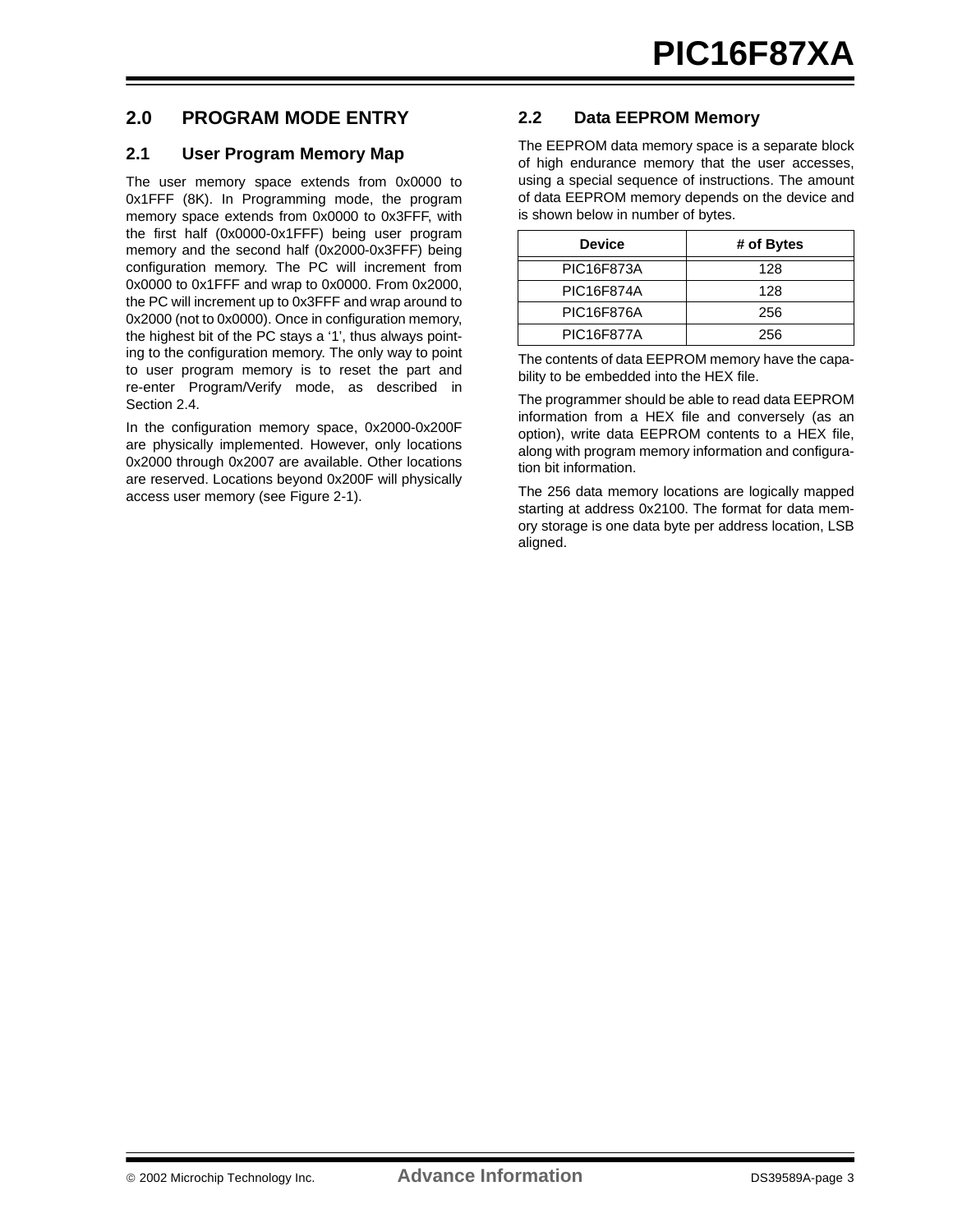# **2.0 PROGRAM MODE ENTRY**

# **2.1 User Program Memory Map**

The user memory space extends from 0x0000 to 0x1FFF (8K). In Programming mode, the program memory space extends from 0x0000 to 0x3FFF, with the first half (0x0000-0x1FFF) being user program memory and the second half (0x2000-0x3FFF) being configuration memory. The PC will increment from 0x0000 to 0x1FFF and wrap to 0x0000. From 0x2000, the PC will increment up to 0x3FFF and wrap around to 0x2000 (not to 0x0000). Once in configuration memory, the highest bit of the PC stays a '1', thus always pointing to the configuration memory. The only way to point to user program memory is to reset the part and re-enter Program/Verify mode, as described in [Section 2.4.](#page-4-0)

In the configuration memory space, 0x2000-0x200F are physically implemented. However, only locations 0x2000 through 0x2007 are available. Other locations are reserved. Locations beyond 0x200F will physically access user memory (see [Figure 2-1](#page-3-0)).

# <span id="page-2-0"></span>**2.2 Data EEPROM Memory**

The EEPROM data memory space is a separate block of high endurance memory that the user accesses, using a special sequence of instructions. The amount of data EEPROM memory depends on the device and is shown below in number of bytes.

| <b>Device</b>     | # of Bytes |
|-------------------|------------|
| PIC16F873A        | 128        |
| PIC16F874A        | 128        |
| <b>PIC16F876A</b> | 256        |
| <b>PIC16F877A</b> | 256        |

The contents of data EEPROM memory have the capability to be embedded into the HEX file.

The programmer should be able to read data EEPROM information from a HEX file and conversely (as an option), write data EEPROM contents to a HEX file, along with program memory information and configuration bit information.

The 256 data memory locations are logically mapped starting at address 0x2100. The format for data memory storage is one data byte per address location, LSB aligned.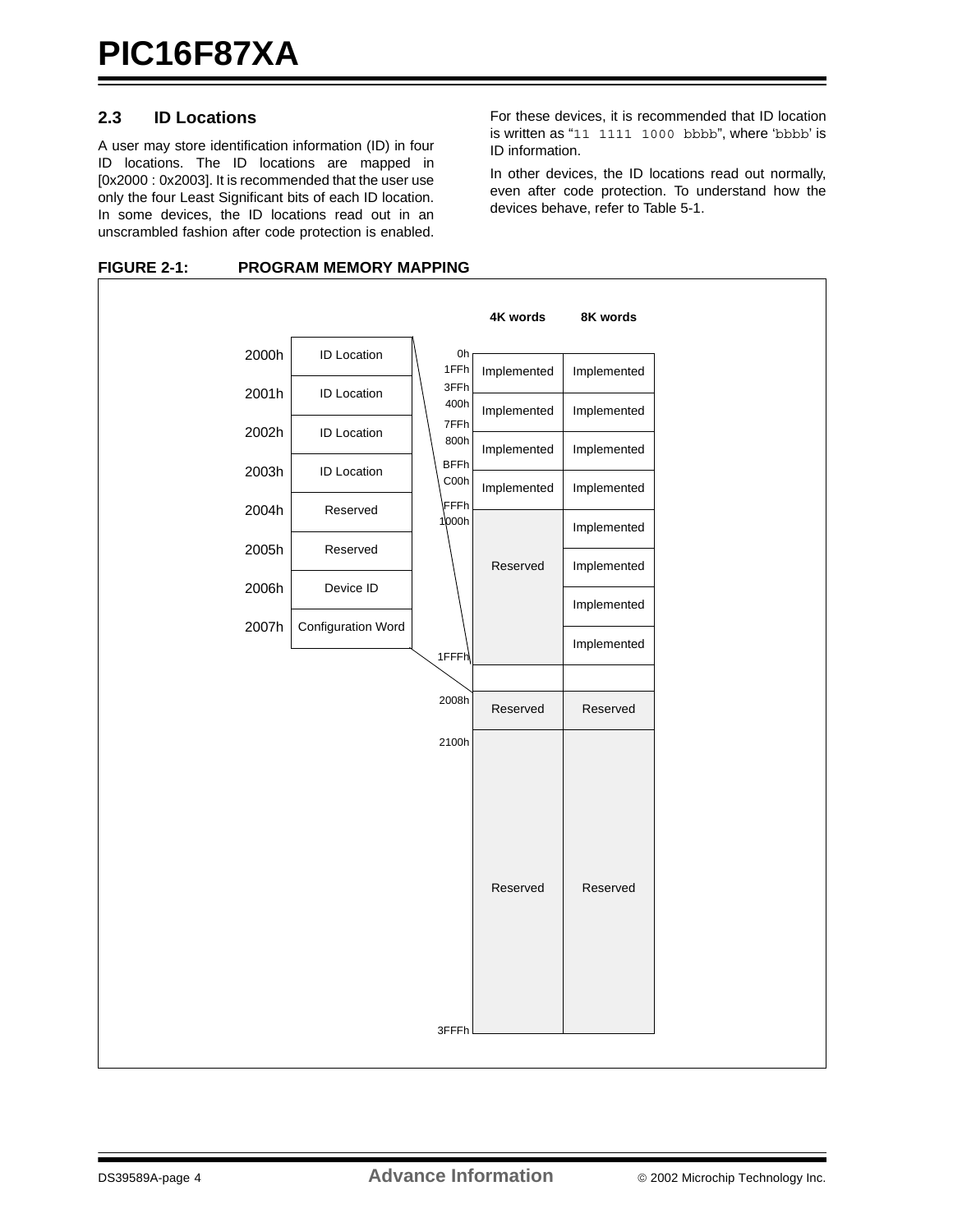# **2.3 ID Locations**

A user may store identification information (ID) in four ID locations. The ID locations are mapped in [0x2000 : 0x2003]. It is recommended that the user use only the four Least Significant bits of each ID location. In some devices, the ID locations read out in an unscrambled fashion after code protection is enabled.

For these devices, it is recommended that ID location is written as "11 1111 1000 bbbb", where 'bbbb' is ID information.

In other devices, the ID locations read out normally, even after code protection. To understand how the devices behave, refer to [Table 5-1](#page-14-0).



### <span id="page-3-0"></span>**FIGURE 2-1: PROGRAM MEMORY MAPPING**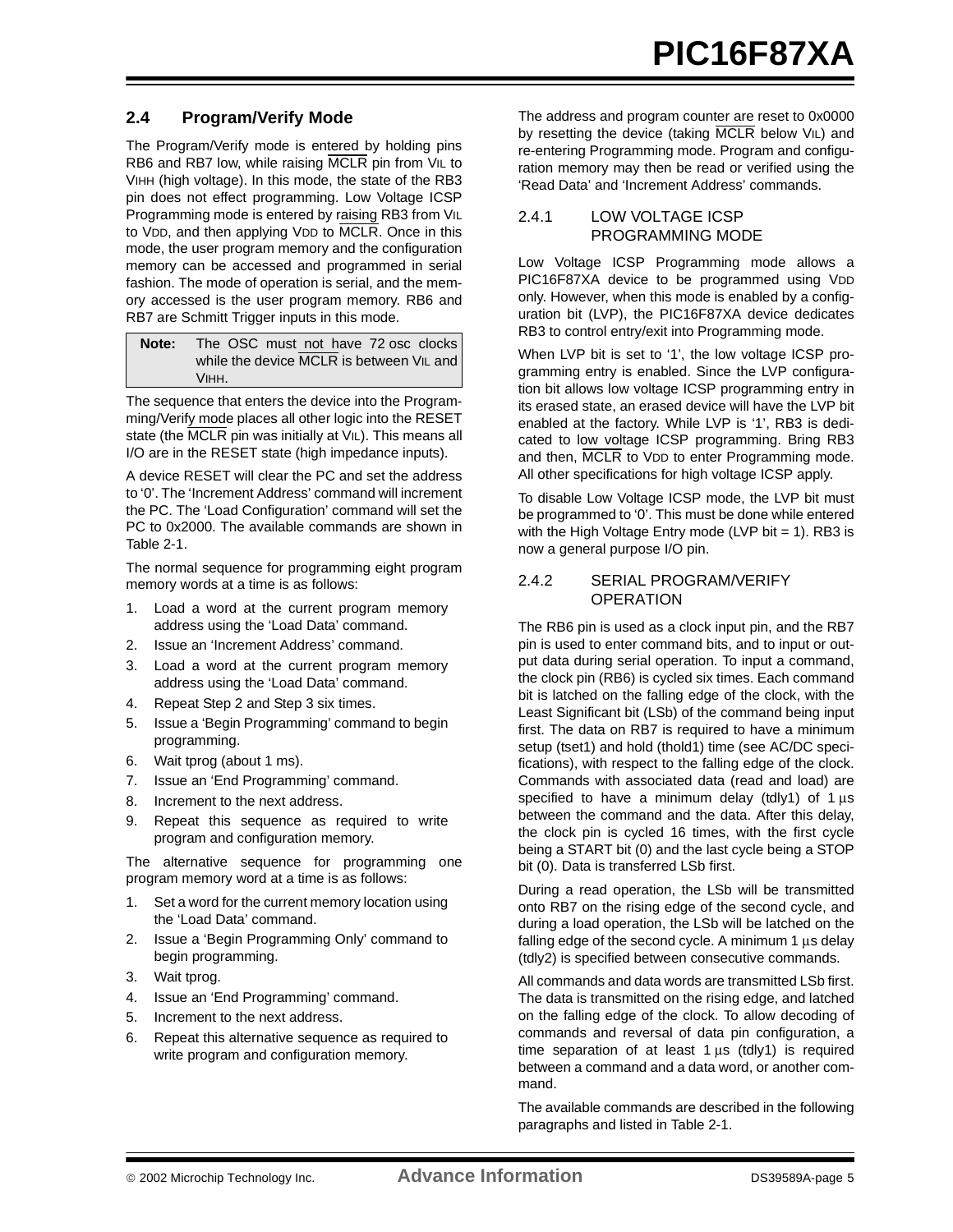# <span id="page-4-0"></span>**2.4 Program/Verify Mode**

The Program/Verify mode is entered by holding pins RB6 and RB7 low, while raising MCLR pin from VIL to VIHH (high voltage). In this mode, the state of the RB3 pin does not effect programming. Low Voltage ICSP Programming mode is entered by raising RB3 from VIL to VDD, and then applying VDD to MCLR. Once in this mode, the user program memory and the configuration memory can be accessed and programmed in serial fashion. The mode of operation is serial, and the memory accessed is the user program memory. RB6 and RB7 are Schmitt Trigger inputs in this mode.

**Note:** The OSC must not have 72 osc clocks while the device MCLR is between VIL and VIHH.

The sequence that enters the device into the Programming/Verify mode places all other logic into the RESET state (the MCLR pin was initially at VIL). This means all I/O are in the RESET state (high impedance inputs).

A device RESET will clear the PC and set the address to '0'. The 'Increment Address' command will increment the PC. The 'Load Configuration' command will set the PC to 0x2000. The available commands are shown in [Table 2-1](#page-6-0).

The normal sequence for programming eight program memory words at a time is as follows:

- 1. Load a word at the current program memory address using the 'Load Data' command.
- <span id="page-4-1"></span>2. Issue an 'Increment Address' command.
- <span id="page-4-2"></span>3. Load a word at the current program memory address using the 'Load Data' command.
- 4. Repeat [Step 2](#page-4-1) and [Step 3](#page-4-2) six times.
- 5. Issue a 'Begin Programming' command to begin programming.
- 6. Wait tprog (about 1 ms).
- 7. Issue an 'End Programming' command.
- 8. Increment to the next address.
- 9. Repeat this sequence as required to write program and configuration memory.

The alternative sequence for programming one program memory word at a time is as follows:

- 1. Set a word for the current memory location using the 'Load Data' command.
- 2. Issue a 'Begin Programming Only' command to begin programming.
- 3. Wait tprog.
- 4. Issue an 'End Programming' command.
- 5. Increment to the next address.
- 6. Repeat this alternative sequence as required to write program and configuration memory.

The address and program counter are reset to 0x0000 by resetting the device (taking MCLR below VIL) and re-entering Programming mode. Program and configuration memory may then be read or verified using the 'Read Data' and 'Increment Address' commands.

### 2.4.1 LOW VOLTAGE ICSP PROGRAMMING MODE

Low Voltage ICSP Programming mode allows a PIC16F87XA device to be programmed using VDD only. However, when this mode is enabled by a configuration bit (LVP), the PIC16F87XA device dedicates RB3 to control entry/exit into Programming mode.

When LVP bit is set to '1', the low voltage ICSP programming entry is enabled. Since the LVP configuration bit allows low voltage ICSP programming entry in its erased state, an erased device will have the LVP bit enabled at the factory. While LVP is '1', RB3 is dedicated to low voltage ICSP programming. Bring RB3 and then, MCLR to VDD to enter Programming mode. All other specifications for high voltage ICSP apply.

To disable Low Voltage ICSP mode, the LVP bit must be programmed to '0'. This must be done while entered with the High Voltage Entry mode (LVP bit = 1). RB3 is now a general purpose I/O pin.

# 2.4.2 SERIAL PROGRAM/VERIFY **OPERATION**

The RB6 pin is used as a clock input pin, and the RB7 pin is used to enter command bits, and to input or output data during serial operation. To input a command, the clock pin (RB6) is cycled six times. Each command bit is latched on the falling edge of the clock, with the Least Significant bit (LSb) of the command being input first. The data on RB7 is required to have a minimum setup (tset1) and hold (thold1) time (see AC/DC specifications), with respect to the falling edge of the clock. Commands with associated data (read and load) are specified to have a minimum delay (tdly1) of  $1 \mu s$ between the command and the data. After this delay, the clock pin is cycled 16 times, with the first cycle being a START bit (0) and the last cycle being a STOP bit (0). Data is transferred LSb first.

During a read operation, the LSb will be transmitted onto RB7 on the rising edge of the second cycle, and during a load operation, the LSb will be latched on the falling edge of the second cycle. A minimum 1 µs delay (tdly2) is specified between consecutive commands.

All commands and data words are transmitted LSb first. The data is transmitted on the rising edge, and latched on the falling edge of the clock. To allow decoding of commands and reversal of data pin configuration, a time separation of at least  $1 \mu s$  (tdly1) is required between a command and a data word, or another command.

The available commands are described in the following paragraphs and listed in Table 2-1.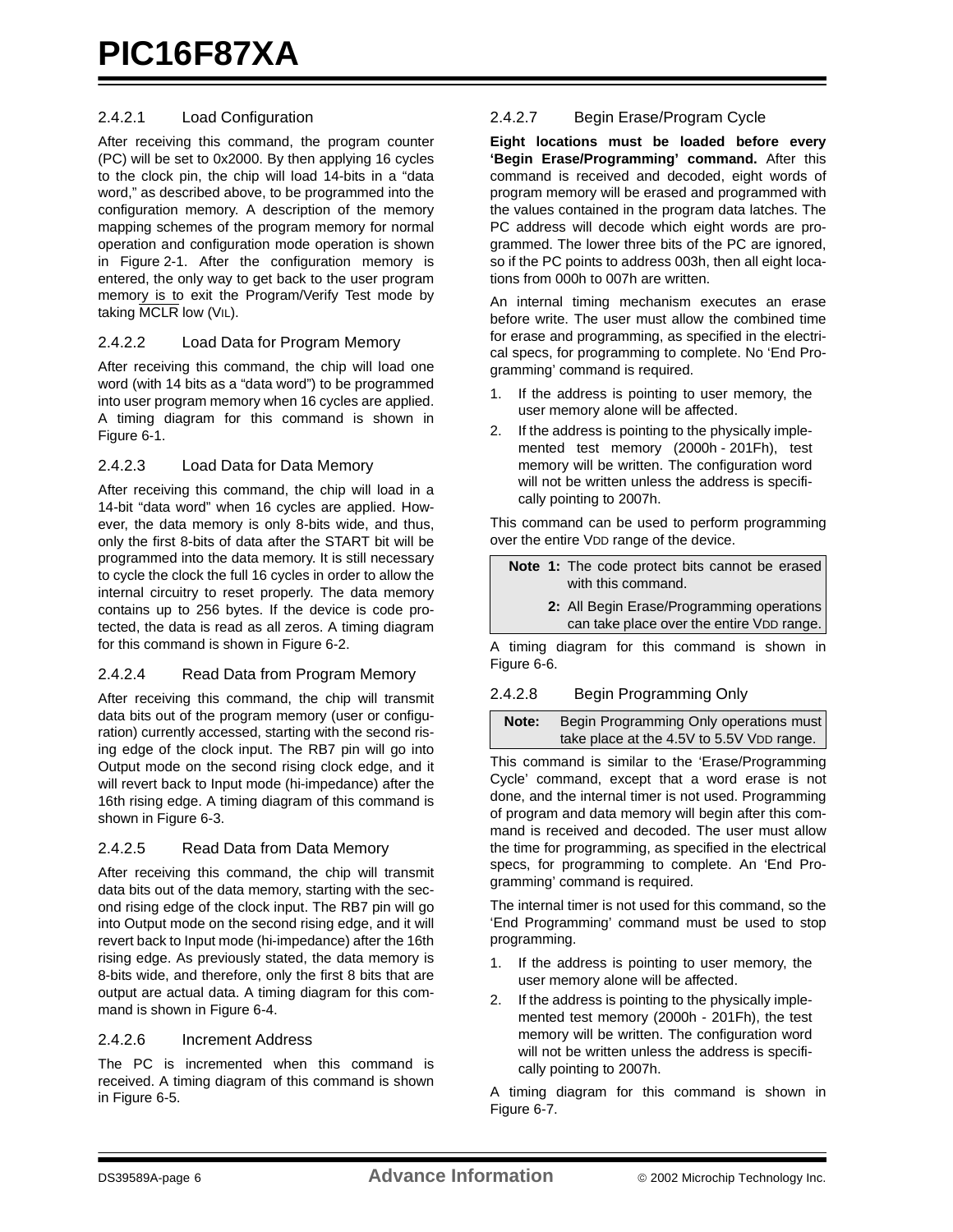# 2.4.2.1 Load Configuration

After receiving this command, the program counter (PC) will be set to 0x2000. By then applying 16 cycles to the clock pin, the chip will load 14-bits in a "data word," as described above, to be programmed into the configuration memory. A description of the memory mapping schemes of the program memory for normal operation and configuration mode operation is shown in [Figure 2-1](#page-3-0). After the configuration memory is entered, the only way to get back to the user program memory is to exit the Program/Verify Test mode by taking MCLR low (VIL).

### 2.4.2.2 Load Data for Program Memory

After receiving this command, the chip will load one word (with 14 bits as a "data word") to be programmed into user program memory when 16 cycles are applied. A timing diagram for this command is shown in [Figure 6-1.](#page-16-0)

### 2.4.2.3 Load Data for Data Memory

After receiving this command, the chip will load in a 14-bit "data word" when 16 cycles are applied. However, the data memory is only 8-bits wide, and thus, only the first 8-bits of data after the START bit will be programmed into the data memory. It is still necessary to cycle the clock the full 16 cycles in order to allow the internal circuitry to reset properly. The data memory contains up to 256 bytes. If the device is code protected, the data is read as all zeros. A timing diagram for this command is shown in [Figure 6-2](#page-16-2).

### 2.4.2.4 Read Data from Program Memory

After receiving this command, the chip will transmit data bits out of the program memory (user or configuration) currently accessed, starting with the second rising edge of the clock input. The RB7 pin will go into Output mode on the second rising clock edge, and it will revert back to Input mode (hi-impedance) after the 16th rising edge. A timing diagram of this command is shown in [Figure 6-3.](#page-16-1)

### 2.4.2.5 Read Data from Data Memory

After receiving this command, the chip will transmit data bits out of the data memory, starting with the second rising edge of the clock input. The RB7 pin will go into Output mode on the second rising edge, and it will revert back to Input mode (hi-impedance) after the 16th rising edge. As previously stated, the data memory is 8-bits wide, and therefore, only the first 8 bits that are output are actual data. A timing diagram for this command is shown in [Figure 6-4.](#page-17-1)

### 2.4.2.6 Increment Address

The PC is incremented when this command is received. A timing diagram of this command is shown in [Figure 6-5](#page-17-0).

# 2.4.2.7 Begin Erase/Program Cycle

**Eight locations must be loaded before every 'Begin Erase/Programming' command.** After this command is received and decoded, eight words of program memory will be erased and programmed with the values contained in the program data latches. The PC address will decode which eight words are programmed. The lower three bits of the PC are ignored, so if the PC points to address 003h, then all eight locations from 000h to 007h are written.

An internal timing mechanism executes an erase before write. The user must allow the combined time for erase and programming, as specified in the electrical specs, for programming to complete. No 'End Programming' command is required.

- 1. If the address is pointing to user memory, the user memory alone will be affected.
- 2. If the address is pointing to the physically implemented test memory (2000h - 201Fh), test memory will be written. The configuration word will not be written unless the address is specifically pointing to 2007h.

This command can be used to perform programming over the entire VDD range of the device.

| Note 1: The code protect bits cannot be erased<br>with this command.                   |
|----------------------------------------------------------------------------------------|
| 2: All Begin Erase/Programming operations<br>can take place over the entire VDD range. |

A timing diagram for this command is shown in [Figure 6-6.](#page-17-2)

### 2.4.2.8 Begin Programming Only

**Note:** Begin Programming Only operations must take place at the 4.5V to 5.5V VDD range.

This command is similar to the 'Erase/Programming Cycle' command, except that a word erase is not done, and the internal timer is not used. Programming of program and data memory will begin after this command is received and decoded. The user must allow the time for programming, as specified in the electrical specs, for programming to complete. An 'End Programming' command is required.

The internal timer is not used for this command, so the 'End Programming' command must be used to stop programming.

- 1. If the address is pointing to user memory, the user memory alone will be affected.
- 2. If the address is pointing to the physically implemented test memory (2000h - 201Fh), the test memory will be written. The configuration word will not be written unless the address is specifically pointing to 2007h.

A timing diagram for this command is shown in [Figure 6-7.](#page-18-0)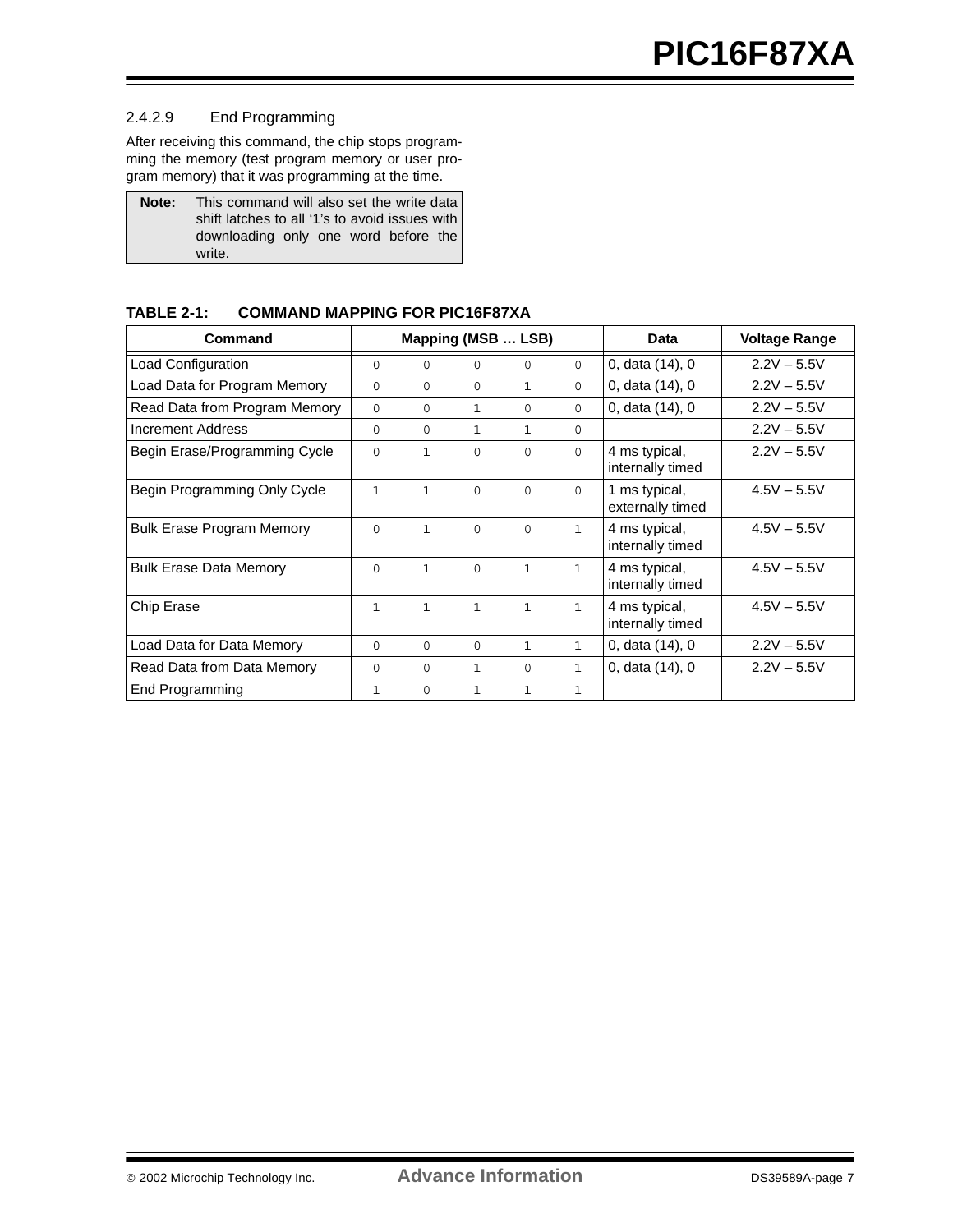# 2.4.2.9 End Programming

After receiving this command, the chip stops programming the memory (test program memory or user program memory) that it was programming at the time.

| <b>Note:</b> This command will also set the write data |  |  |  |  |  |  |  |  |
|--------------------------------------------------------|--|--|--|--|--|--|--|--|
| shift latches to all '1's to avoid issues with         |  |  |  |  |  |  |  |  |
| downloading only one word before the                   |  |  |  |  |  |  |  |  |
| write.                                                 |  |  |  |  |  |  |  |  |

## <span id="page-6-0"></span>**TABLE 2-1: COMMAND MAPPING FOR PIC16F87XA**

| Command                          | Mapping (MSB  LSB) |              |              | Data         | <b>Voltage Range</b> |                                   |               |
|----------------------------------|--------------------|--------------|--------------|--------------|----------------------|-----------------------------------|---------------|
| Load Configuration               | $\Omega$           | $\Omega$     | 0            | $\Omega$     | $\Omega$             | 0, data (14), 0                   | $2.2V - 5.5V$ |
| Load Data for Program Memory     | $\Omega$           | $\Omega$     | $\Omega$     | $\mathbf{1}$ | $\Omega$             | 0, data (14), 0                   | $2.2V - 5.5V$ |
| Read Data from Program Memory    | $\Omega$           | $\Omega$     | $\mathbf{1}$ | 0            | $\Omega$             | 0, data (14), 0                   | $2.2V - 5.5V$ |
| Increment Address                | $\Omega$           | $\Omega$     | 1            | 1            | $\Omega$             |                                   | $2.2V - 5.5V$ |
| Begin Erase/Programming Cycle    | $\Omega$           | $\mathbf{1}$ | $\Omega$     | $\Omega$     | $\Omega$             | 4 ms typical,<br>internally timed | $2.2V - 5.5V$ |
| Begin Programming Only Cycle     | $\mathbf{1}$       | $\mathbf{1}$ | $\Omega$     | $\Omega$     | $\Omega$             | 1 ms typical,<br>externally timed | $4.5V - 5.5V$ |
| <b>Bulk Erase Program Memory</b> | $\Omega$           | $\mathbf{1}$ | $\Omega$     | $\Omega$     | $\mathbf{1}$         | 4 ms typical,<br>internally timed | $4.5V - 5.5V$ |
| <b>Bulk Erase Data Memory</b>    | $\Omega$           | $\mathbf{1}$ | $\Omega$     | $\mathbf{1}$ | $\mathbf{1}$         | 4 ms typical,<br>internally timed | $4.5V - 5.5V$ |
| Chip Erase                       | $\mathbf{1}$       | $\mathbf{1}$ | $\mathbf{1}$ | $\mathbf{1}$ | $\mathbf{1}$         | 4 ms typical,<br>internally timed | $4.5V - 5.5V$ |
| Load Data for Data Memory        | $\Omega$           | $\Omega$     | $\Omega$     | $\mathbf{1}$ | $\mathbf{1}$         | 0, data (14), 0                   | $2.2V - 5.5V$ |
| Read Data from Data Memory       | $\Omega$           | $\Omega$     | $\mathbf{1}$ | $\Omega$     | 1                    | 0, data (14), 0                   | $2.2V - 5.5V$ |
| End Programming                  | 1                  | $\Omega$     | 1            | $\mathbf{1}$ | $\mathbf 1$          |                                   |               |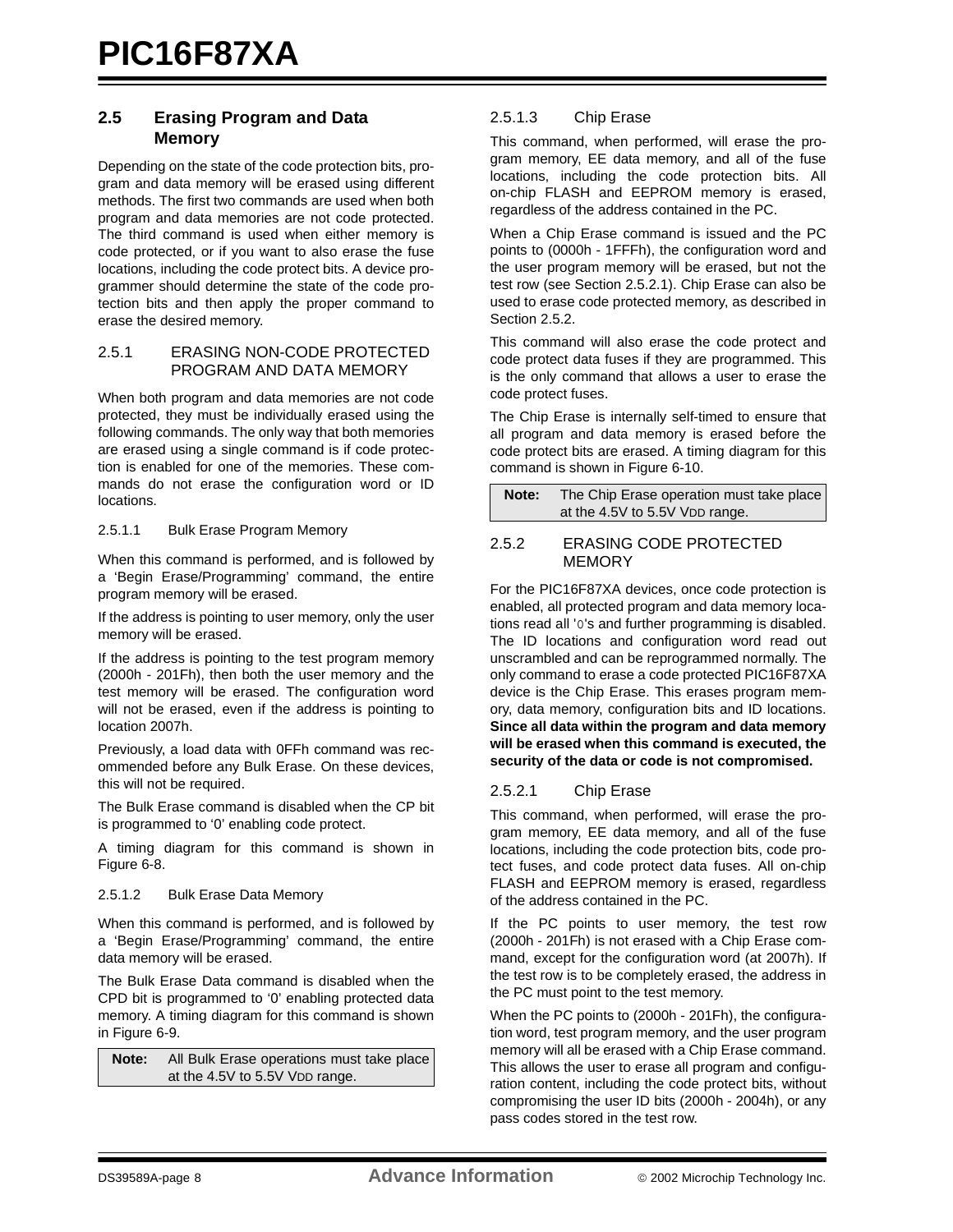# **2.5 Erasing Program and Data Memory**

Depending on the state of the code protection bits, program and data memory will be erased using different methods. The first two commands are used when both program and data memories are not code protected. The third command is used when either memory is code protected, or if you want to also erase the fuse locations, including the code protect bits. A device programmer should determine the state of the code protection bits and then apply the proper command to erase the desired memory.

### 2.5.1 ERASING NON-CODE PROTECTED PROGRAM AND DATA MEMORY

When both program and data memories are not code protected, they must be individually erased using the following commands. The only way that both memories are erased using a single command is if code protection is enabled for one of the memories. These commands do not erase the configuration word or ID locations.

#### 2.5.1.1 Bulk Erase Program Memory

When this command is performed, and is followed by a 'Begin Erase/Programming' command, the entire program memory will be erased.

If the address is pointing to user memory, only the user memory will be erased.

If the address is pointing to the test program memory (2000h - 201Fh), then both the user memory and the test memory will be erased. The configuration word will not be erased, even if the address is pointing to location 2007h.

Previously, a load data with 0FFh command was recommended before any Bulk Erase. On these devices, this will not be required.

The Bulk Erase command is disabled when the CP bit is programmed to '0' enabling code protect.

A timing diagram for this command is shown in [Figure 6-8.](#page-18-1)

### 2.5.1.2 Bulk Erase Data Memory

When this command is performed, and is followed by a 'Begin Erase/Programming' command, the entire data memory will be erased.

The Bulk Erase Data command is disabled when the CPD bit is programmed to '0' enabling protected data memory. A timing diagram for this command is shown in [Figure 6-9](#page-18-2).

**Note:** All Bulk Erase operations must take place at the 4.5V to 5.5V VDD range.

# 2.5.1.3 Chip Erase

This command, when performed, will erase the program memory, EE data memory, and all of the fuse locations, including the code protection bits. All on-chip FLASH and EEPROM memory is erased, regardless of the address contained in the PC.

When a Chip Erase command is issued and the PC points to (0000h - 1FFFh), the configuration word and the user program memory will be erased, but not the test row (see [Section 2.5.2.1](#page-7-1)). Chip Erase can also be used to erase code protected memory, as described in [Section 2.5.2](#page-7-0).

This command will also erase the code protect and code protect data fuses if they are programmed. This is the only command that allows a user to erase the code protect fuses.

The Chip Erase is internally self-timed to ensure that all program and data memory is erased before the code protect bits are erased. A timing diagram for this command is shown in [Figure 6-10.](#page-19-0)

| Note: | The Chip Erase operation must take place |
|-------|------------------------------------------|
|       | at the 4.5V to 5.5V VDD range.           |

### <span id="page-7-0"></span>2.5.2 ERASING CODE PROTECTED MEMORY

For the PIC16F87XA devices, once code protection is enabled, all protected program and data memory locations read all '0's and further programming is disabled. The ID locations and configuration word read out unscrambled and can be reprogrammed normally. The only command to erase a code protected PIC16F87XA device is the Chip Erase. This erases program memory, data memory, configuration bits and ID locations. **Since all data within the program and data memory will be erased when this command is executed, the security of the data or code is not compromised.**

### <span id="page-7-1"></span>2.5.2.1 Chip Erase

This command, when performed, will erase the program memory, EE data memory, and all of the fuse locations, including the code protection bits, code protect fuses, and code protect data fuses. All on-chip FLASH and EEPROM memory is erased, regardless of the address contained in the PC.

If the PC points to user memory, the test row (2000h - 201Fh) is not erased with a Chip Erase command, except for the configuration word (at 2007h). If the test row is to be completely erased, the address in the PC must point to the test memory.

When the PC points to (2000h - 201Fh), the configuration word, test program memory, and the user program memory will all be erased with a Chip Erase command. This allows the user to erase all program and configuration content, including the code protect bits, without compromising the user ID bits (2000h - 2004h), or any pass codes stored in the test row.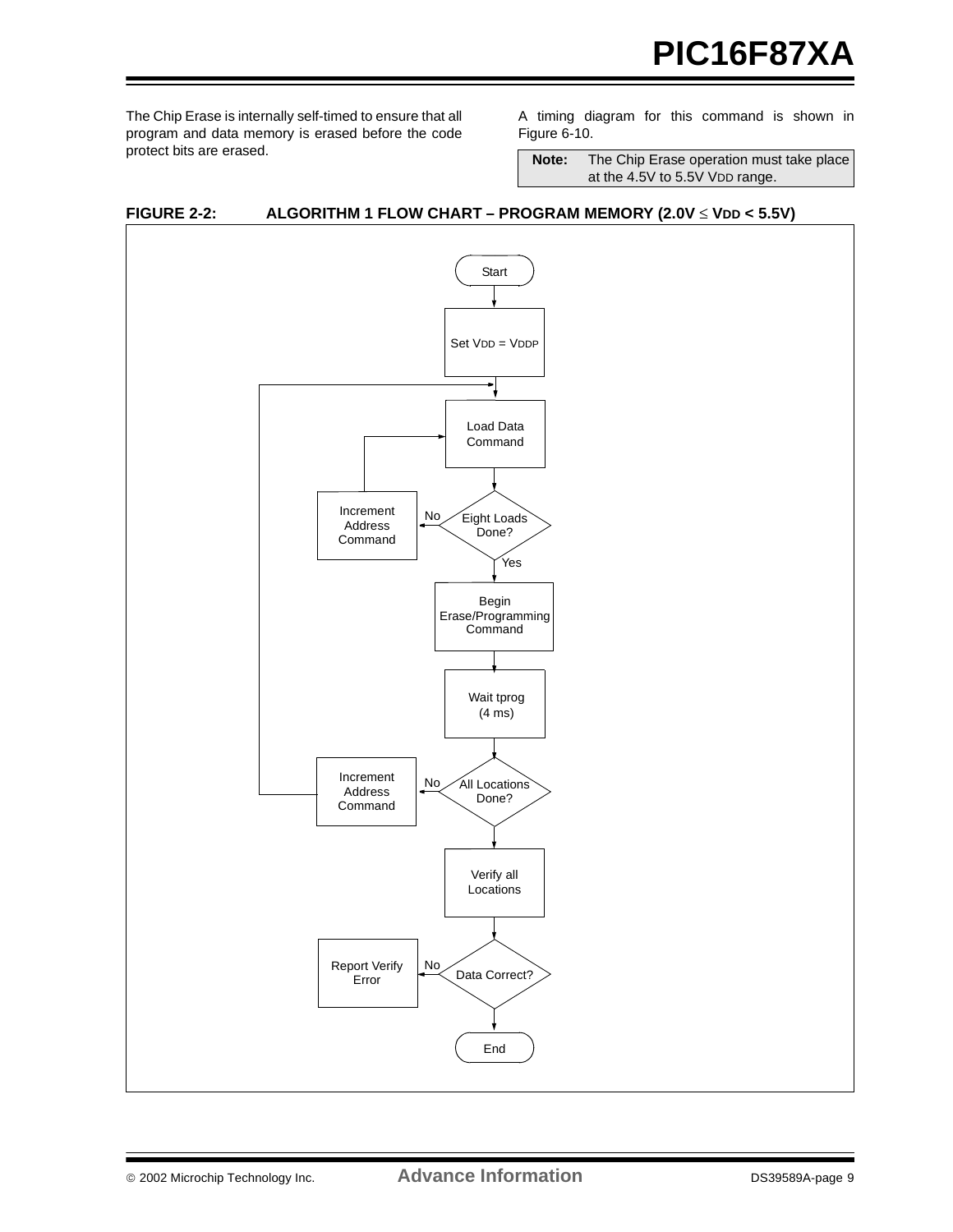The Chip Erase is internally self-timed to ensure that all program and data memory is erased before the code protect bits are erased.

A timing diagram for this command is shown in [Figure 6-10.](#page-19-0)

**Note:** The Chip Erase operation must take place at the 4.5V to 5.5V VDD range.

# FIGURE 2-2: ALGORITHM 1 FLOW CHART – PROGRAM MEMORY (2.0V ≤ VDD < 5.5V)

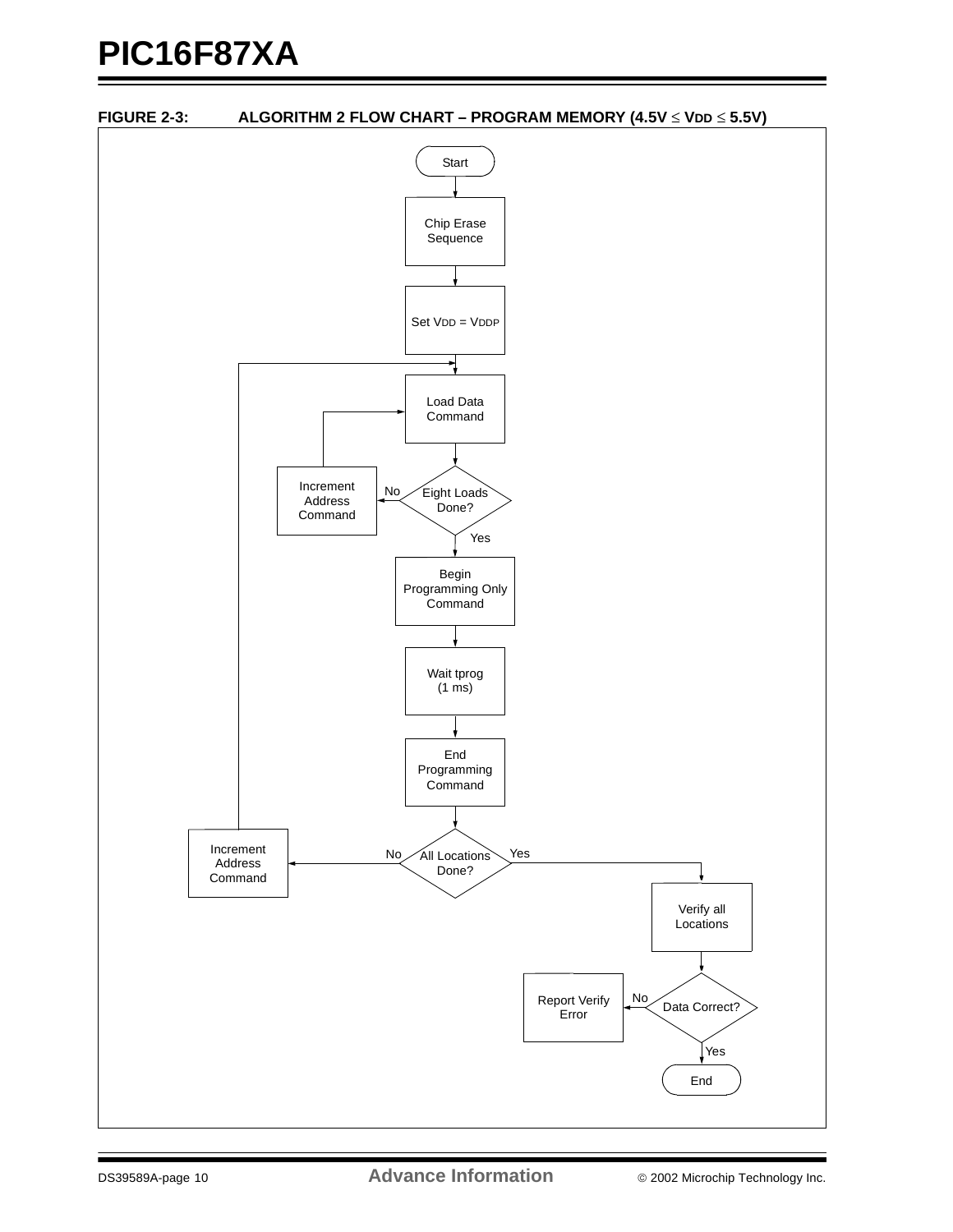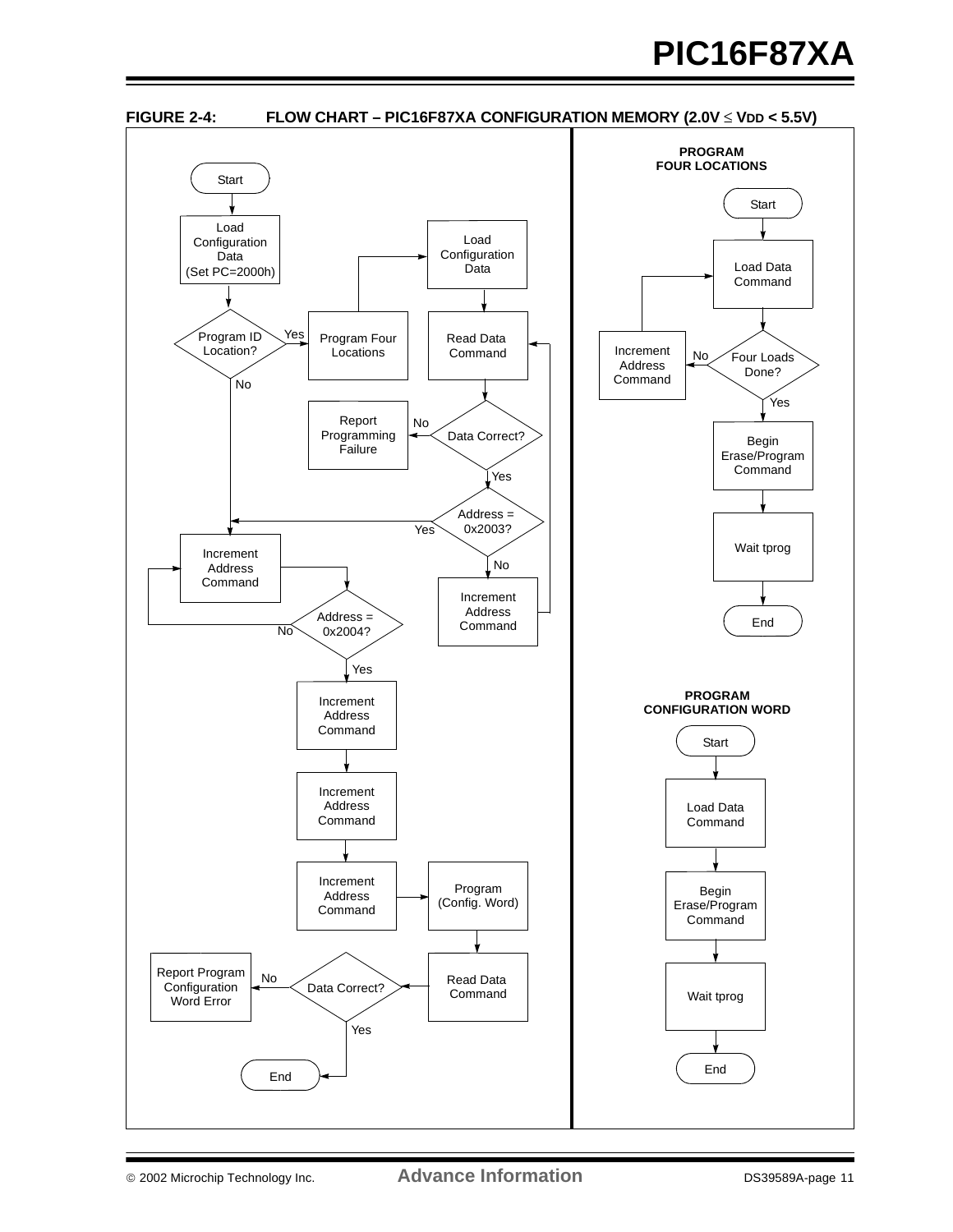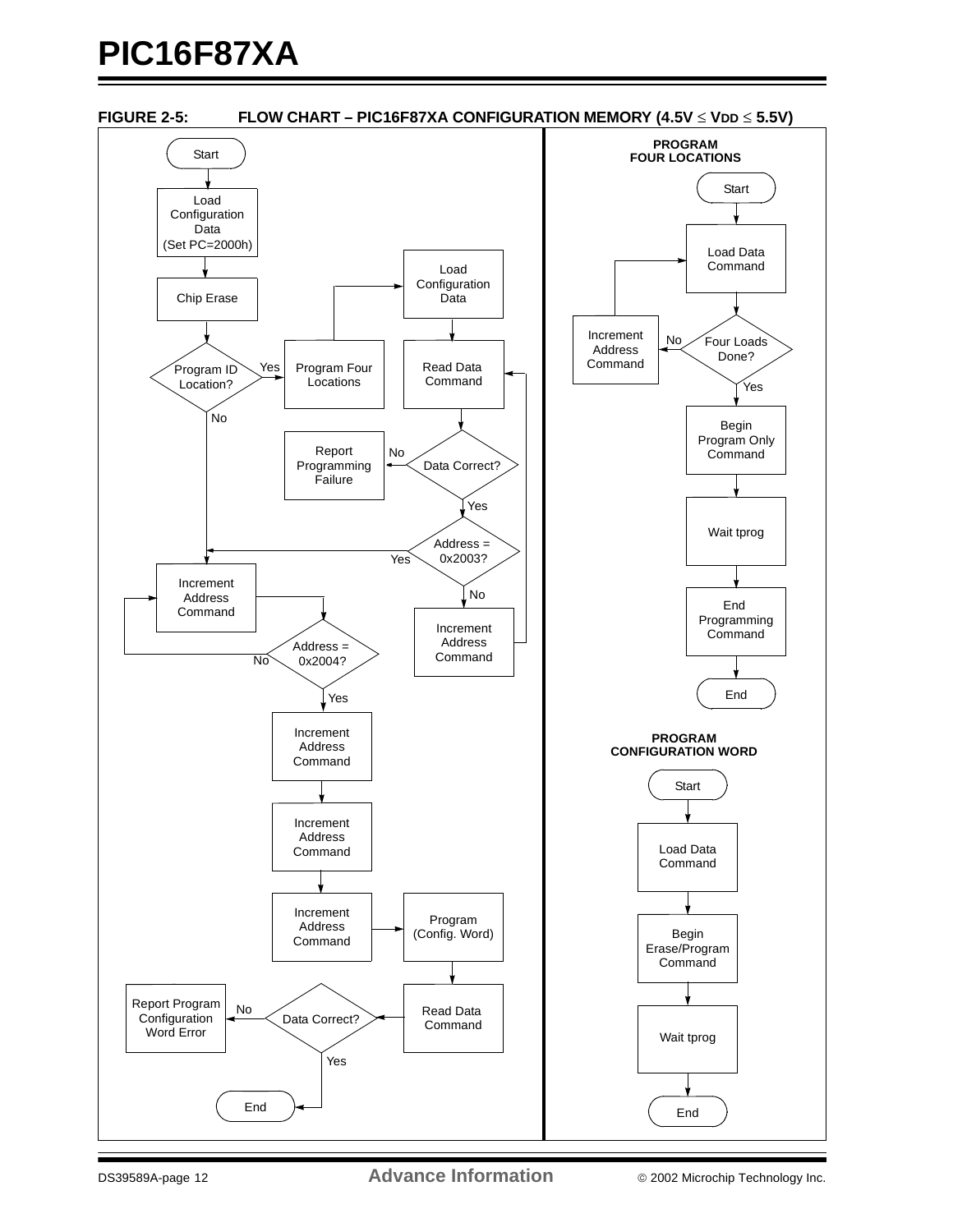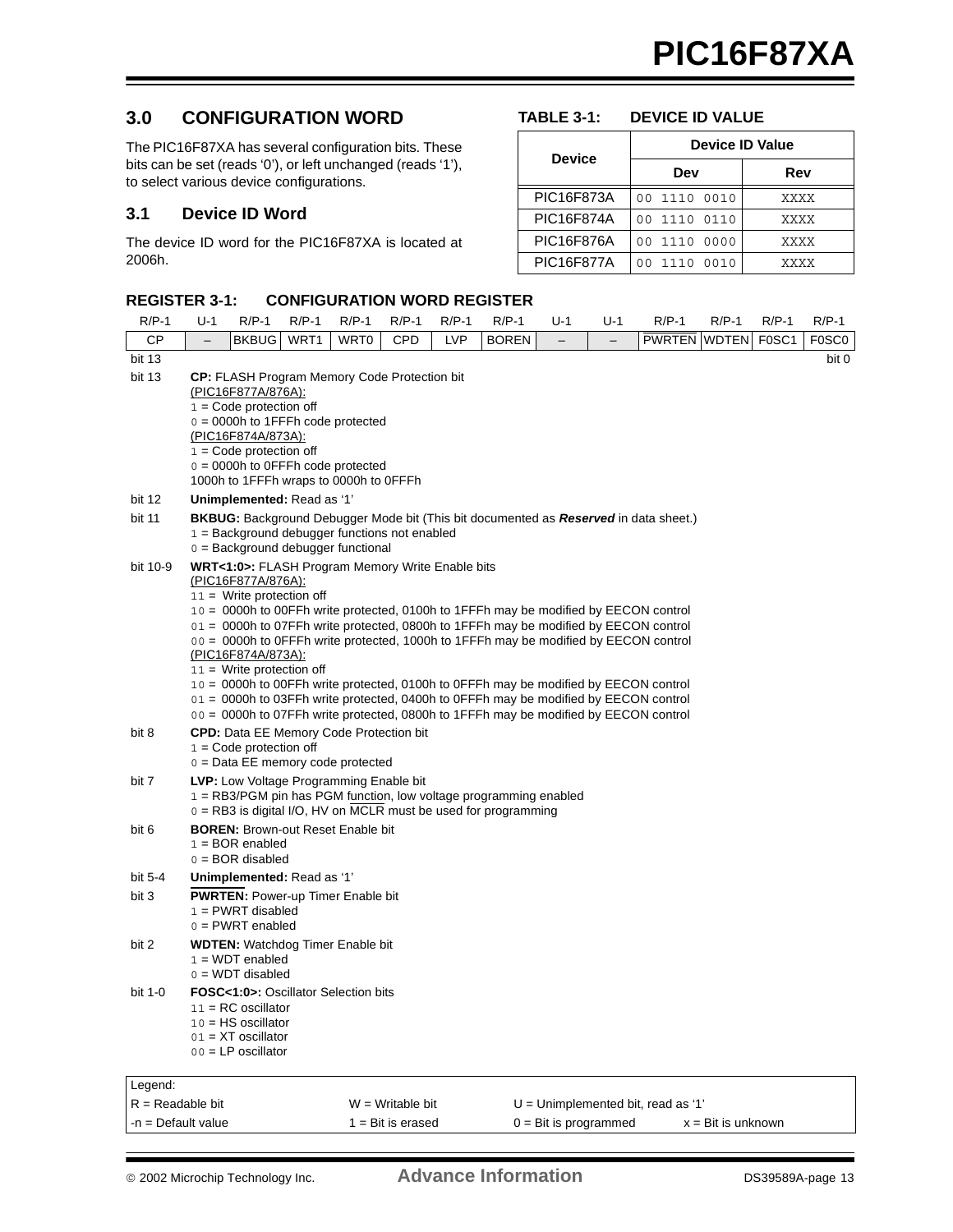# **3.0 CONFIGURATION WORD**

The PIC16F87XA has several configuration bits. These bits can be set (reads '0'), or left unchanged (reads '1'), to select various device configurations.

### **3.1 Device ID Word**

The device ID word for the PIC16F87XA is located at 2006h.

### **REGISTER 3-1: CONFIGURATION WORD REGISTER**

#### **TABLE 3-1: DEVICE ID VALUE**

| <b>Device</b>     | <b>Device ID Value</b> |      |  |  |  |  |  |
|-------------------|------------------------|------|--|--|--|--|--|
|                   | Dev                    | Rev  |  |  |  |  |  |
| PIC16F873A        | 00 1110 0010           | XXXX |  |  |  |  |  |
| PIC16F874A        | 00 1110 0110           | XXXX |  |  |  |  |  |
| <b>PIC16F876A</b> | 00 1110 0000           | XXXX |  |  |  |  |  |
| <b>PIC16F877A</b> | 00 1110 0010           | xxxx |  |  |  |  |  |

| $R/P-1$            | $U-1$                                                                                                                                                                                                                                                                                                                                                                                                                                                                                                                                                                                                                                  | $R/P-1$                                                                                                                                                                                                                                                                            | $R/P-1$ | $R/P-1$             | $R/P-1$             | $R/P-1$    | $R/P-1$                                                                                                                                  | U-1 | $U-1$             | $R/P-1$                                                                                            | $R/P-1$      | $R/P-1$                        | $R/P-1$ |
|--------------------|----------------------------------------------------------------------------------------------------------------------------------------------------------------------------------------------------------------------------------------------------------------------------------------------------------------------------------------------------------------------------------------------------------------------------------------------------------------------------------------------------------------------------------------------------------------------------------------------------------------------------------------|------------------------------------------------------------------------------------------------------------------------------------------------------------------------------------------------------------------------------------------------------------------------------------|---------|---------------------|---------------------|------------|------------------------------------------------------------------------------------------------------------------------------------------|-----|-------------------|----------------------------------------------------------------------------------------------------|--------------|--------------------------------|---------|
| СP                 | $\overline{\phantom{0}}$                                                                                                                                                                                                                                                                                                                                                                                                                                                                                                                                                                                                               | <b>BKBUG</b>                                                                                                                                                                                                                                                                       | WRT1    | <b>WRT0</b>         | CPD                 | <b>LVP</b> | <b>BOREN</b>                                                                                                                             |     | $\qquad \qquad -$ | <b>PWRTEN</b>                                                                                      | <b>WDTEN</b> | F <sub>0</sub> SC <sub>1</sub> | F0SC0   |
| <b>bit 13</b>      |                                                                                                                                                                                                                                                                                                                                                                                                                                                                                                                                                                                                                                        |                                                                                                                                                                                                                                                                                    |         |                     |                     |            |                                                                                                                                          |     |                   |                                                                                                    |              |                                | bit 0   |
| bit 13             |                                                                                                                                                                                                                                                                                                                                                                                                                                                                                                                                                                                                                                        | CP: FLASH Program Memory Code Protection bit<br>(PIC16F877A/876A):<br>$1 = Code$ protection off<br>$0 = 0000h$ to 1FFFh code protected<br><u>(PIC16F874A/873A):</u><br>$1 = Code$ protection off<br>$0 = 0000$ h to OFFFh code protected<br>1000h to 1FFFh wraps to 0000h to 0FFFh |         |                     |                     |            |                                                                                                                                          |     |                   |                                                                                                    |              |                                |         |
| <b>bit 12</b>      |                                                                                                                                                                                                                                                                                                                                                                                                                                                                                                                                                                                                                                        | Unimplemented: Read as '1'                                                                                                                                                                                                                                                         |         |                     |                     |            |                                                                                                                                          |     |                   |                                                                                                    |              |                                |         |
| bit 11             |                                                                                                                                                                                                                                                                                                                                                                                                                                                                                                                                                                                                                                        | $1 =$ Background debugger functions not enabled<br>0 = Background debugger functional                                                                                                                                                                                              |         |                     |                     |            |                                                                                                                                          |     |                   | <b>BKBUG:</b> Background Debugger Mode bit (This bit documented as <b>Reserved</b> in data sheet.) |              |                                |         |
| bit 10-9           | <b>WRT&lt;1:0&gt;:</b> FLASH Program Memory Write Enable bits<br><u>(PIC16F877A/876A):</u><br>$11 =$ Write protection off<br>10 = 0000h to 00FFh write protected, 0100h to 1FFFh may be modified by EECON control<br>01 = 0000h to 07FFh write protected, 0800h to 1FFFh may be modified by EECON control<br>00 = 0000h to 0FFFh write protected, 1000h to 1FFFh may be modified by EECON control<br>(PIC16F874A/873A):<br>$11 =$ Write protection off<br>10 = 0000h to 00FFh write protected, 0100h to 0FFFh may be modified by EECON control<br>01 = 0000h to 03FFh write protected, 0400h to 0FFFh may be modified by EECON control |                                                                                                                                                                                                                                                                                    |         |                     |                     |            |                                                                                                                                          |     |                   |                                                                                                    |              |                                |         |
| bit 8              |                                                                                                                                                                                                                                                                                                                                                                                                                                                                                                                                                                                                                                        | <b>CPD:</b> Data EE Memory Code Protection bit<br>$1 = Code$ protection off<br>$0 = Data EE$ memory code protected                                                                                                                                                                 |         |                     |                     |            | 00 = 0000h to 07FFh write protected, 0800h to 1FFFh may be modified by EECON control                                                     |     |                   |                                                                                                    |              |                                |         |
| bit 7              |                                                                                                                                                                                                                                                                                                                                                                                                                                                                                                                                                                                                                                        | <b>LVP:</b> Low Voltage Programming Enable bit                                                                                                                                                                                                                                     |         |                     |                     |            | $1 = RB3/PGM$ pin has PGM function, low voltage programming enabled<br>$0 = RB3$ is digital I/O, HV on MCLR must be used for programming |     |                   |                                                                                                    |              |                                |         |
| bit 6              |                                                                                                                                                                                                                                                                                                                                                                                                                                                                                                                                                                                                                                        | <b>BOREN:</b> Brown-out Reset Enable bit<br>$1 = BOR$ enabled<br>$0 = BOR$ disabled                                                                                                                                                                                                |         |                     |                     |            |                                                                                                                                          |     |                   |                                                                                                    |              |                                |         |
| bit 5-4            |                                                                                                                                                                                                                                                                                                                                                                                                                                                                                                                                                                                                                                        | Unimplemented: Read as '1'                                                                                                                                                                                                                                                         |         |                     |                     |            |                                                                                                                                          |     |                   |                                                                                                    |              |                                |         |
| bit 3              | <b>PWRTEN: Power-up Timer Enable bit</b><br>$1 =$ PWRT disabled<br>$0 = PWRT$ enabled                                                                                                                                                                                                                                                                                                                                                                                                                                                                                                                                                  |                                                                                                                                                                                                                                                                                    |         |                     |                     |            |                                                                                                                                          |     |                   |                                                                                                    |              |                                |         |
| bit 2              |                                                                                                                                                                                                                                                                                                                                                                                                                                                                                                                                                                                                                                        | <b>WDTEN:</b> Watchdog Timer Enable bit<br>$1 = WDT$ enabled<br>$0 = WDT$ disabled                                                                                                                                                                                                 |         |                     |                     |            |                                                                                                                                          |     |                   |                                                                                                    |              |                                |         |
| bit 1-0            |                                                                                                                                                                                                                                                                                                                                                                                                                                                                                                                                                                                                                                        | <b>FOSC&lt;1:0&gt;:</b> Oscillator Selection bits<br>$11 = RC$ oscillator<br>$10 = HS$ oscillator<br>$01 = XT$ oscillator<br>$00 = LP$ oscillator                                                                                                                                  |         |                     |                     |            |                                                                                                                                          |     |                   |                                                                                                    |              |                                |         |
| Legend:            |                                                                                                                                                                                                                                                                                                                                                                                                                                                                                                                                                                                                                                        |                                                                                                                                                                                                                                                                                    |         |                     |                     |            |                                                                                                                                          |     |                   |                                                                                                    |              |                                |         |
| $R = Readable bit$ |                                                                                                                                                                                                                                                                                                                                                                                                                                                                                                                                                                                                                                        |                                                                                                                                                                                                                                                                                    |         |                     | $W = Writeable bit$ |            |                                                                                                                                          |     |                   | $U =$ Unimplemented bit, read as '1'                                                               |              |                                |         |
| -n = Default value |                                                                                                                                                                                                                                                                                                                                                                                                                                                                                                                                                                                                                                        |                                                                                                                                                                                                                                                                                    |         | $1 = Bit$ is erased |                     |            | $0 = Bit$ is programmed                                                                                                                  |     |                   | $x = \text{Bit}$ is unknown                                                                        |              |                                |         |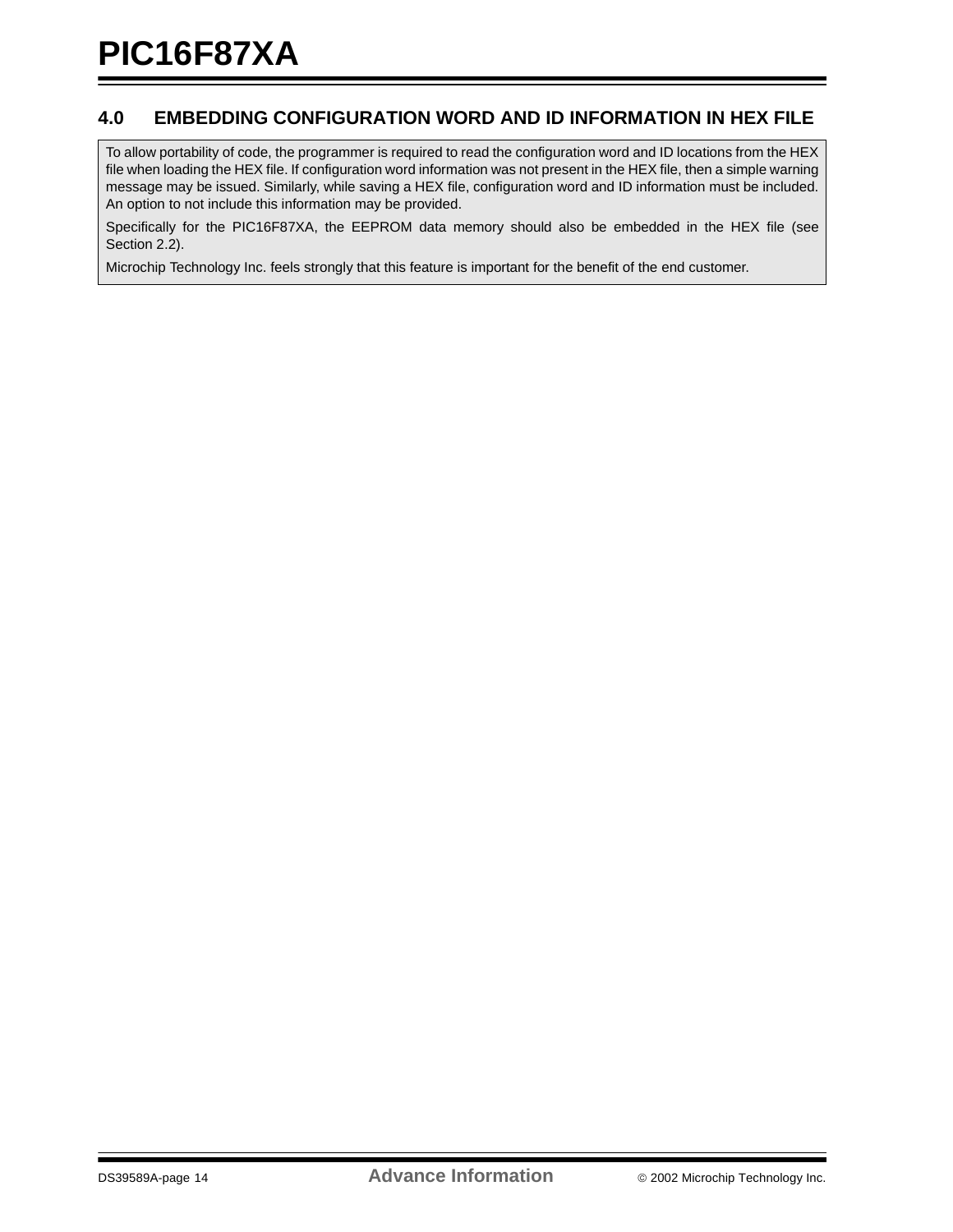# **4.0 EMBEDDING CONFIGURATION WORD AND ID INFORMATION IN HEX FILE**

To allow portability of code, the programmer is required to read the configuration word and ID locations from the HEX file when loading the HEX file. If configuration word information was not present in the HEX file, then a simple warning message may be issued. Similarly, while saving a HEX file, configuration word and ID information must be included. An option to not include this information may be provided.

Specifically for the PIC16F87XA, the EEPROM data memory should also be embedded in the HEX file (see [Section 2.2](#page-2-0)).

Microchip Technology Inc. feels strongly that this feature is important for the benefit of the end customer.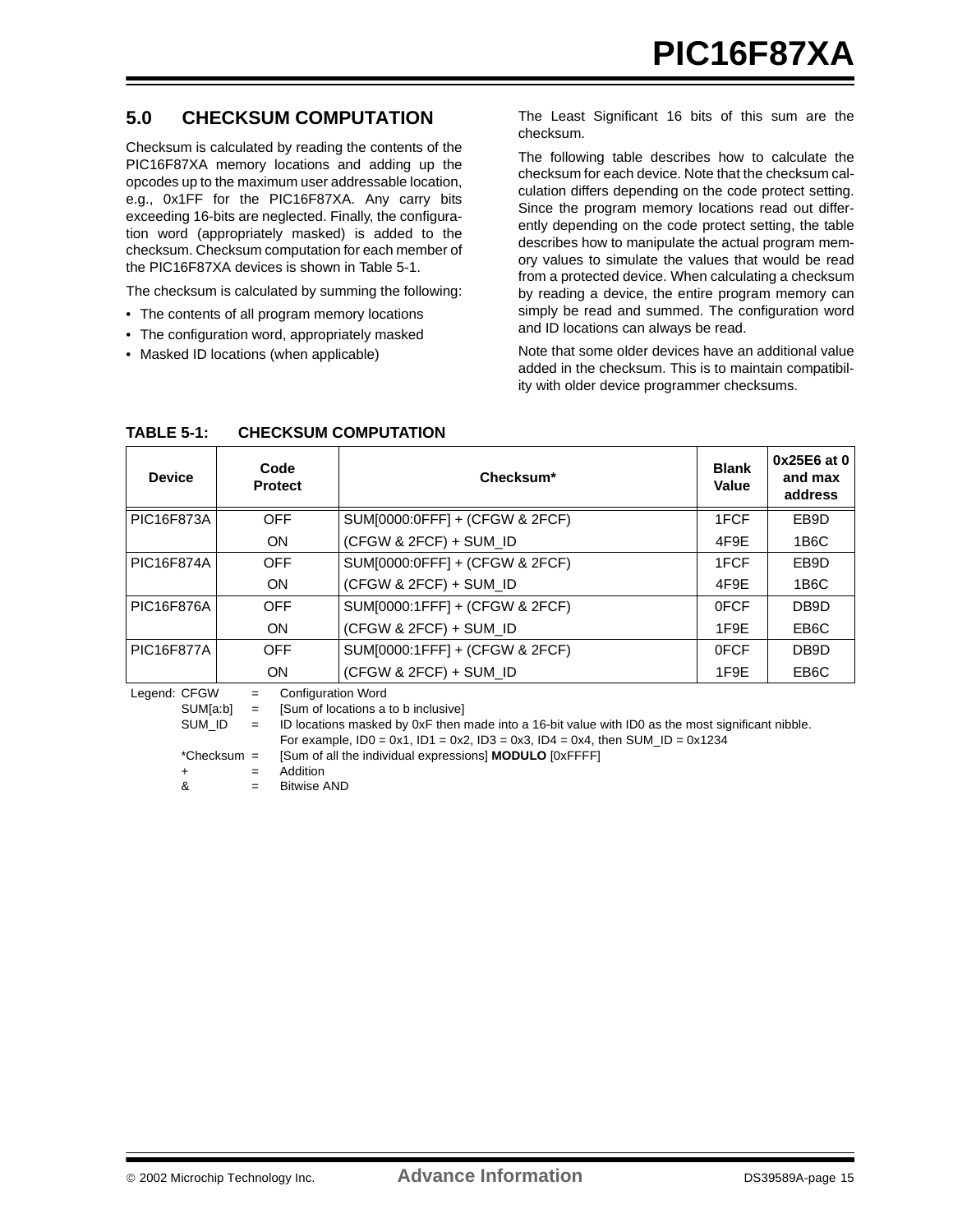# **5.0 CHECKSUM COMPUTATION**

Checksum is calculated by reading the contents of the PIC16F87XA memory locations and adding up the opcodes up to the maximum user addressable location, e.g., 0x1FF for the PIC16F87XA. Any carry bits exceeding 16-bits are neglected. Finally, the configuration word (appropriately masked) is added to the checksum. Checksum computation for each member of the PIC16F87XA devices is shown in [Table 5-1.](#page-14-0)

The checksum is calculated by summing the following:

- The contents of all program memory locations
- The configuration word, appropriately masked
- Masked ID locations (when applicable)

The Least Significant 16 bits of this sum are the checksum.

The following table describes how to calculate the checksum for each device. Note that the checksum calculation differs depending on the code protect setting. Since the program memory locations read out differently depending on the code protect setting, the table describes how to manipulate the actual program memory values to simulate the values that would be read from a protected device. When calculating a checksum by reading a device, the entire program memory can simply be read and summed. The configuration word and ID locations can always be read.

Note that some older devices have an additional value added in the checksum. This is to maintain compatibility with older device programmer checksums.

| <b>Device</b>                                                                                                                                                                                                                                                                                                                                                                        | Code<br><b>Protect</b>             | Checksum*                      | <b>Blank</b><br>Value | 0x25E6 at 0<br>and max<br>address |
|--------------------------------------------------------------------------------------------------------------------------------------------------------------------------------------------------------------------------------------------------------------------------------------------------------------------------------------------------------------------------------------|------------------------------------|--------------------------------|-----------------------|-----------------------------------|
| PIC16F873A                                                                                                                                                                                                                                                                                                                                                                           | OFF                                | SUM[0000:0FFF] + (CFGW & 2FCF) | 1FCF                  | EB9D                              |
|                                                                                                                                                                                                                                                                                                                                                                                      | <b>ON</b>                          | (CFGW & 2FCF) + SUM_ID         | 4F9E                  | 1B6C                              |
| PIC16F874A                                                                                                                                                                                                                                                                                                                                                                           | OFF                                | SUM[0000:0FFF] + (CFGW & 2FCF) | 1FCF                  | EB9D                              |
|                                                                                                                                                                                                                                                                                                                                                                                      | <b>ON</b>                          | (CFGW & 2FCF) + SUM_ID         | 4F9E                  | 1B6C                              |
| PIC16F876A                                                                                                                                                                                                                                                                                                                                                                           | <b>OFF</b>                         | SUM[0000:1FFF] + (CFGW & 2FCF) | 0FCF                  | DB9D                              |
|                                                                                                                                                                                                                                                                                                                                                                                      | <b>ON</b>                          | (CFGW & 2FCF) + SUM_ID         | 1F9E                  | EB6C                              |
| PIC16F877A                                                                                                                                                                                                                                                                                                                                                                           | <b>OFF</b>                         | SUM[0000:1FFF] + (CFGW & 2FCF) | 0FCF                  | DB9D                              |
|                                                                                                                                                                                                                                                                                                                                                                                      | <b>ON</b>                          | (CFGW & 2FCF) + SUM_ID         | 1F9E                  | EB6C                              |
| $\overline{a}$ $\overline{a}$ $\overline{a}$ $\overline{a}$ $\overline{a}$ $\overline{a}$ $\overline{a}$ $\overline{a}$ $\overline{a}$ $\overline{a}$ $\overline{a}$ $\overline{a}$ $\overline{a}$ $\overline{a}$ $\overline{a}$ $\overline{a}$ $\overline{a}$ $\overline{a}$ $\overline{a}$ $\overline{a}$ $\overline{a}$ $\overline{a}$ $\overline{a}$ $\overline{a}$ $\overline{$ | $\sim$ $\sim$ $\sim$ $\sim$ $\sim$ |                                |                       |                                   |

### <span id="page-14-0"></span>**TABLE 5-1: CHECKSUM COMPUTATION**

Legend: CFGW = Configuration Word

SUM[a:b] = [Sum of locations a to b inclusive]

SUM\_ID = ID locations masked by 0xF then made into a 16-bit value with ID0 as the most significant nibble.

For example,  $ID0 = 0x1$ ,  $ID1 = 0x2$ ,  $ID3 = 0x3$ ,  $ID4 = 0x4$ , then SUM\_ID = 0x1234

- \*Checksum = [Sum of all the individual expressions] **MODULO** [0xFFFF]
- **Addition**  $\&$  = Bitwise AND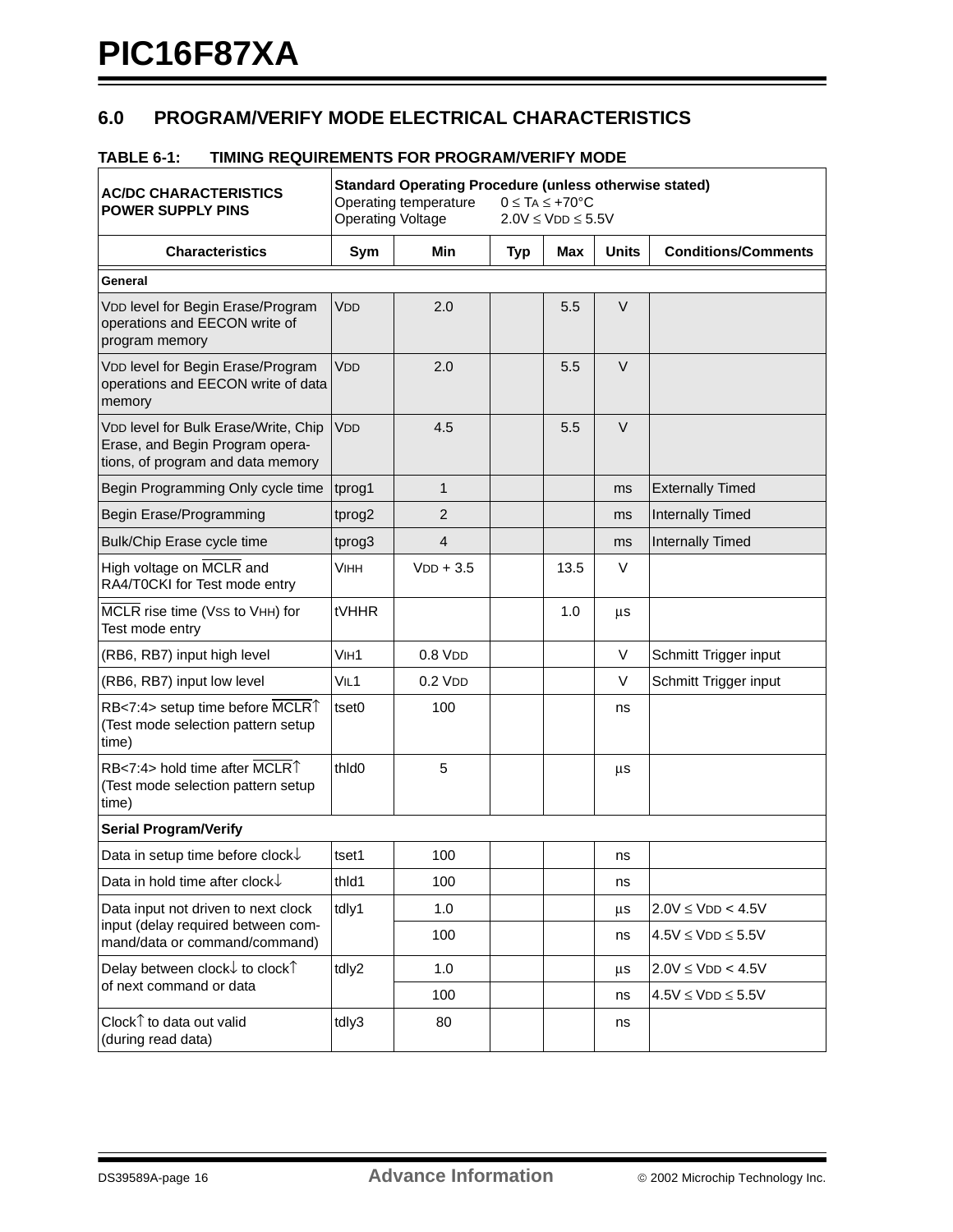# **6.0 PROGRAM/VERIFY MODE ELECTRICAL CHARACTERISTICS**

### **TABLE 6-1: TIMING REQUIREMENTS FOR PROGRAM/VERIFY MODE**

| <b>AC/DC CHARACTERISTICS</b><br><b>POWER SUPPLY PINS</b>                                                     |                   | <b>Standard Operating Procedure (unless otherwise stated)</b><br>Operating temperature<br>$0 \leq TA \leq +70^{\circ}C$<br><b>Operating Voltage</b><br>$2.0V \leq VDD \leq 5.5V$ |            |            |              |                            |  |
|--------------------------------------------------------------------------------------------------------------|-------------------|----------------------------------------------------------------------------------------------------------------------------------------------------------------------------------|------------|------------|--------------|----------------------------|--|
| <b>Characteristics</b>                                                                                       | Sym               | Min                                                                                                                                                                              | <b>Typ</b> | <b>Max</b> | <b>Units</b> | <b>Conditions/Comments</b> |  |
| General                                                                                                      |                   |                                                                                                                                                                                  |            |            |              |                            |  |
| VDD level for Begin Erase/Program<br>operations and EECON write of<br>program memory                         | VDD               | 2.0                                                                                                                                                                              |            | 5.5        | $\vee$       |                            |  |
| VDD level for Begin Erase/Program<br>operations and EECON write of data<br>memory                            | VDD               | 2.0                                                                                                                                                                              |            | 5.5        | $\vee$       |                            |  |
| VDD level for Bulk Erase/Write, Chip<br>Erase, and Begin Program opera-<br>tions, of program and data memory | VDD               | 4.5                                                                                                                                                                              |            | 5.5        | $\vee$       |                            |  |
| Begin Programming Only cycle time                                                                            | tprog1            | 1                                                                                                                                                                                |            |            | ms           | <b>Externally Timed</b>    |  |
| Begin Erase/Programming                                                                                      | tprog2            | $\overline{c}$                                                                                                                                                                   |            |            | ms           | <b>Internally Timed</b>    |  |
| Bulk/Chip Erase cycle time                                                                                   | tprog3            | $\overline{4}$                                                                                                                                                                   |            |            | ms           | <b>Internally Timed</b>    |  |
| High voltage on MCLR and<br>RA4/T0CKI for Test mode entry                                                    | <b>VIHH</b>       | $VDD + 3.5$                                                                                                                                                                      |            | 13.5       | $\vee$       |                            |  |
| MCLR rise time (Vss to VHH) for<br>Test mode entry                                                           | tVHHR             |                                                                                                                                                                                  |            | 1.0        | μs           |                            |  |
| (RB6, RB7) input high level                                                                                  | V <sub>HH1</sub>  | $0.8$ V <sub>D</sub> $D$                                                                                                                                                         |            |            | V            | Schmitt Trigger input      |  |
| (RB6, RB7) input low level                                                                                   | VIL1              | $0.2$ V <sub>D</sub> $D$                                                                                                                                                         |            |            | $\vee$       | Schmitt Trigger input      |  |
| RB<7:4> setup time before MCLR <sup>1</sup><br>(Test mode selection pattern setup<br>time)                   | tset0             | 100                                                                                                                                                                              |            |            | ns           |                            |  |
| RB<7:4> hold time after MCLRT<br>(Test mode selection pattern setup<br>time)                                 | thid <sub>0</sub> | 5                                                                                                                                                                                |            |            | μs           |                            |  |
| <b>Serial Program/Verify</b>                                                                                 |                   |                                                                                                                                                                                  |            |            |              |                            |  |
| Data in setup time before clock↓                                                                             | tset1             | 100                                                                                                                                                                              |            |            | ns           |                            |  |
| Data in hold time after clock↓                                                                               | thid1             | 100                                                                                                                                                                              |            |            | ns           |                            |  |
| Data input not driven to next clock                                                                          | tdly1             | 1.0                                                                                                                                                                              |            |            | μs           | $2.0V \le VDD < 4.5V$      |  |
| input (delay required between com-<br>mand/data or command/command)                                          |                   | 100                                                                                                                                                                              |            |            | ns           | $4.5V \leq VDD \leq 5.5V$  |  |
| Delay between clock↓ to clock1                                                                               | tdly2             | 1.0                                                                                                                                                                              |            |            | μs           | $2.0V \leq VDD < 4.5V$     |  |
| of next command or data                                                                                      |                   | 100                                                                                                                                                                              |            |            | ns           | $4.5V \le VDD \le 5.5V$    |  |
| Clock <sup><math>\uparrow</math></sup> to data out valid<br>(during read data)                               | tdly3             | 80                                                                                                                                                                               |            |            | ns           |                            |  |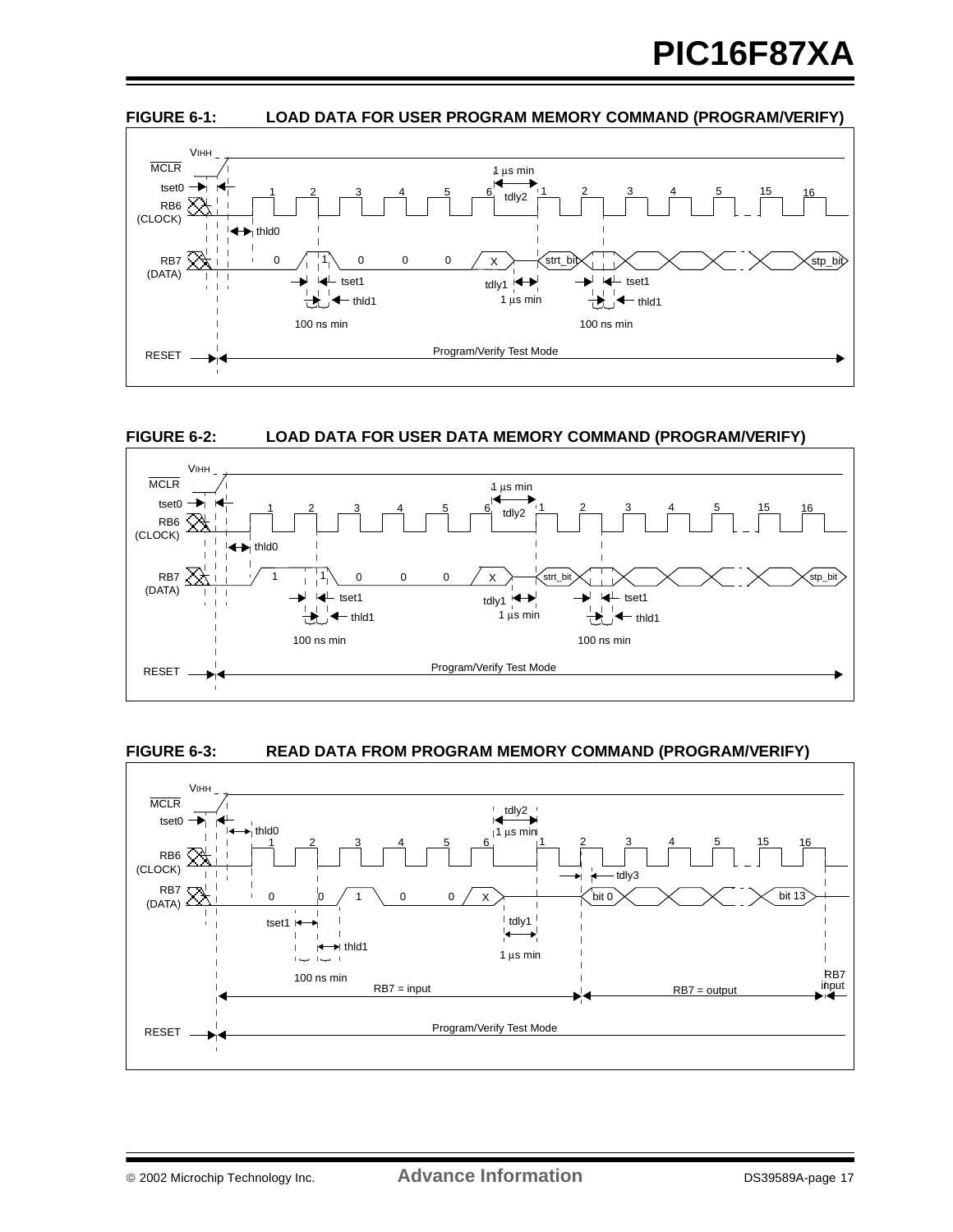<span id="page-16-0"></span>



<span id="page-16-2"></span>



<span id="page-16-1"></span>

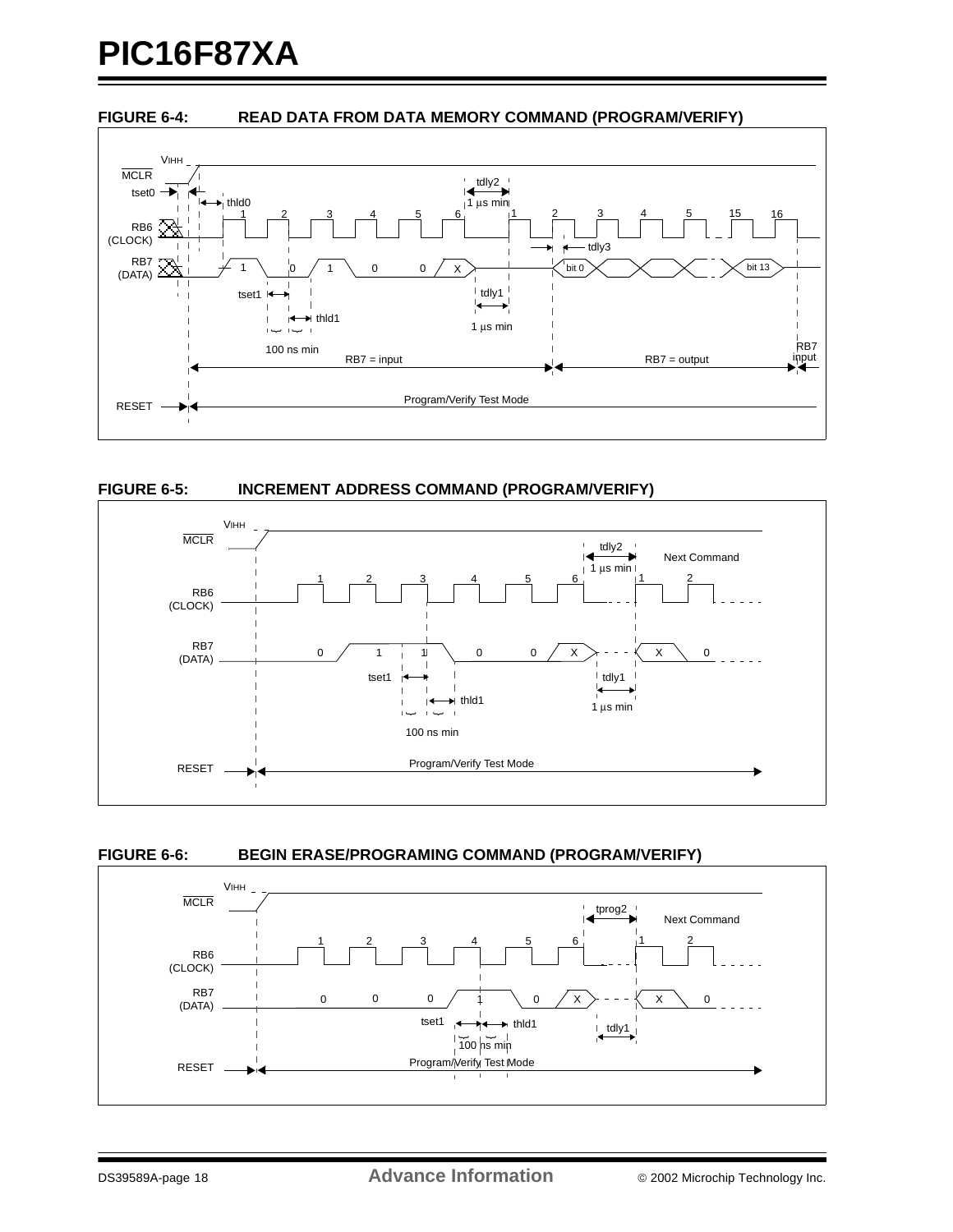<span id="page-17-1"></span>



<span id="page-17-0"></span>



<span id="page-17-2"></span>

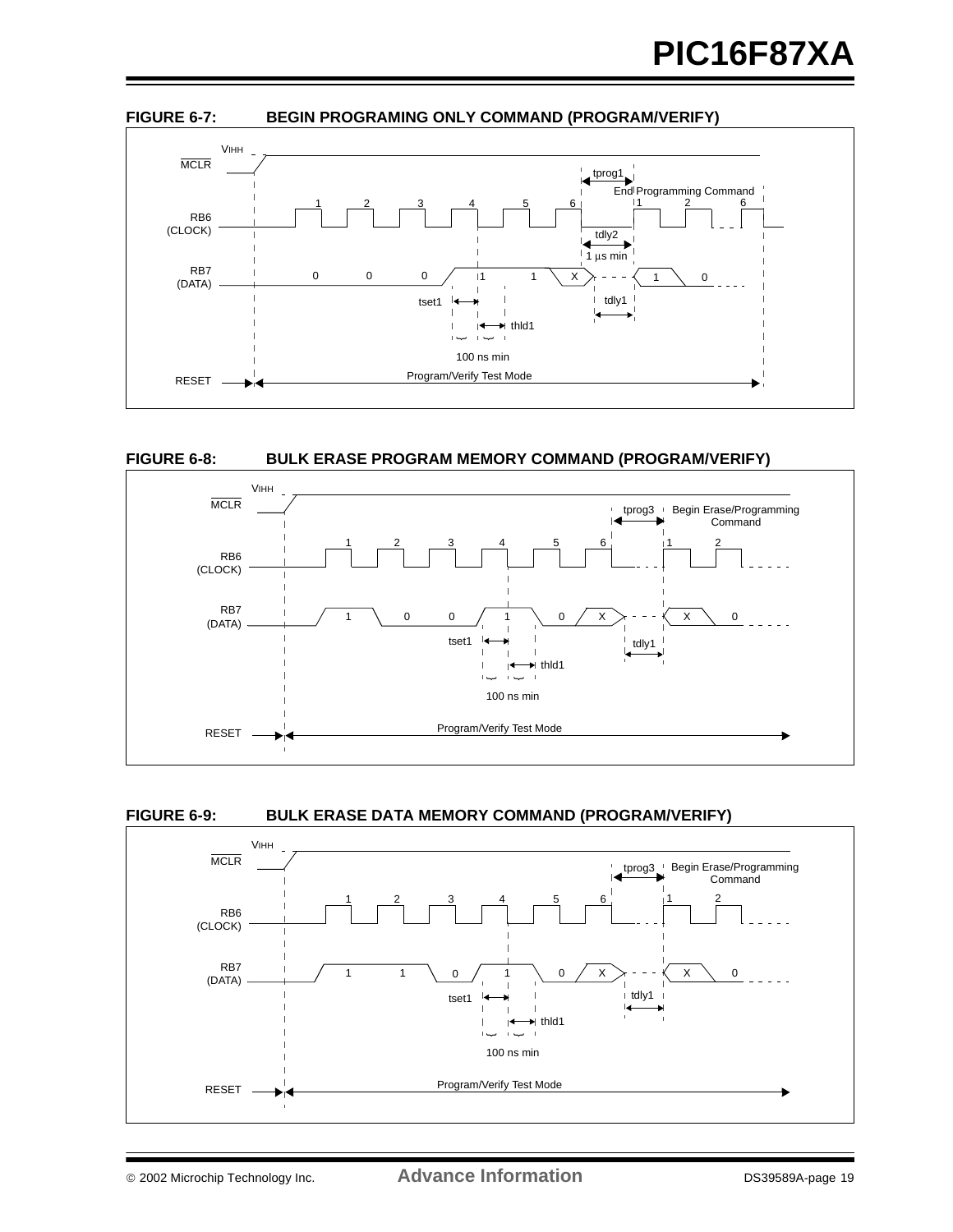<span id="page-18-0"></span>**FIGURE 6-7: BEGIN PROGRAMING ONLY COMMAND (PROGRAM/VERIFY)**



<span id="page-18-1"></span>



<span id="page-18-2"></span>

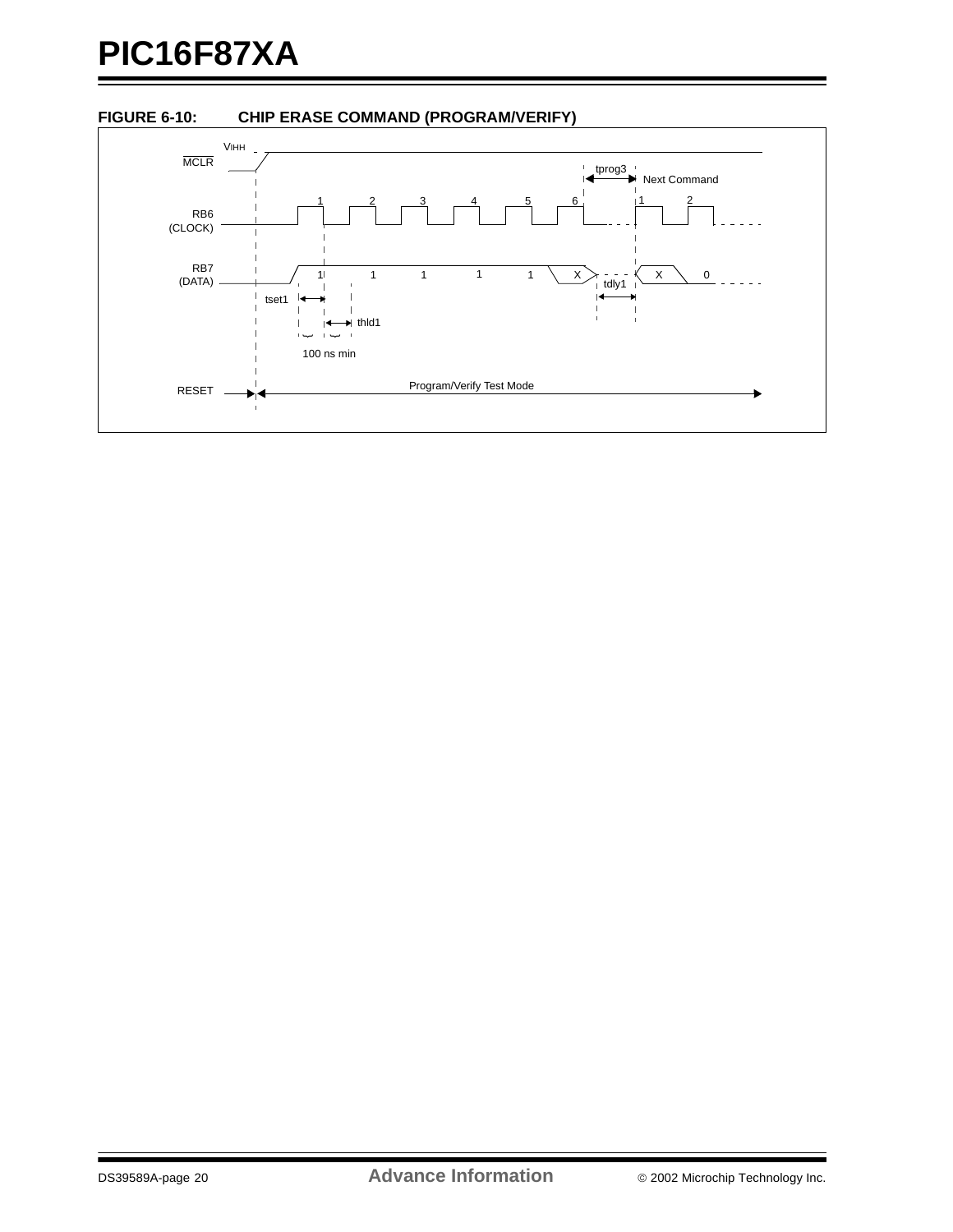<span id="page-19-0"></span>

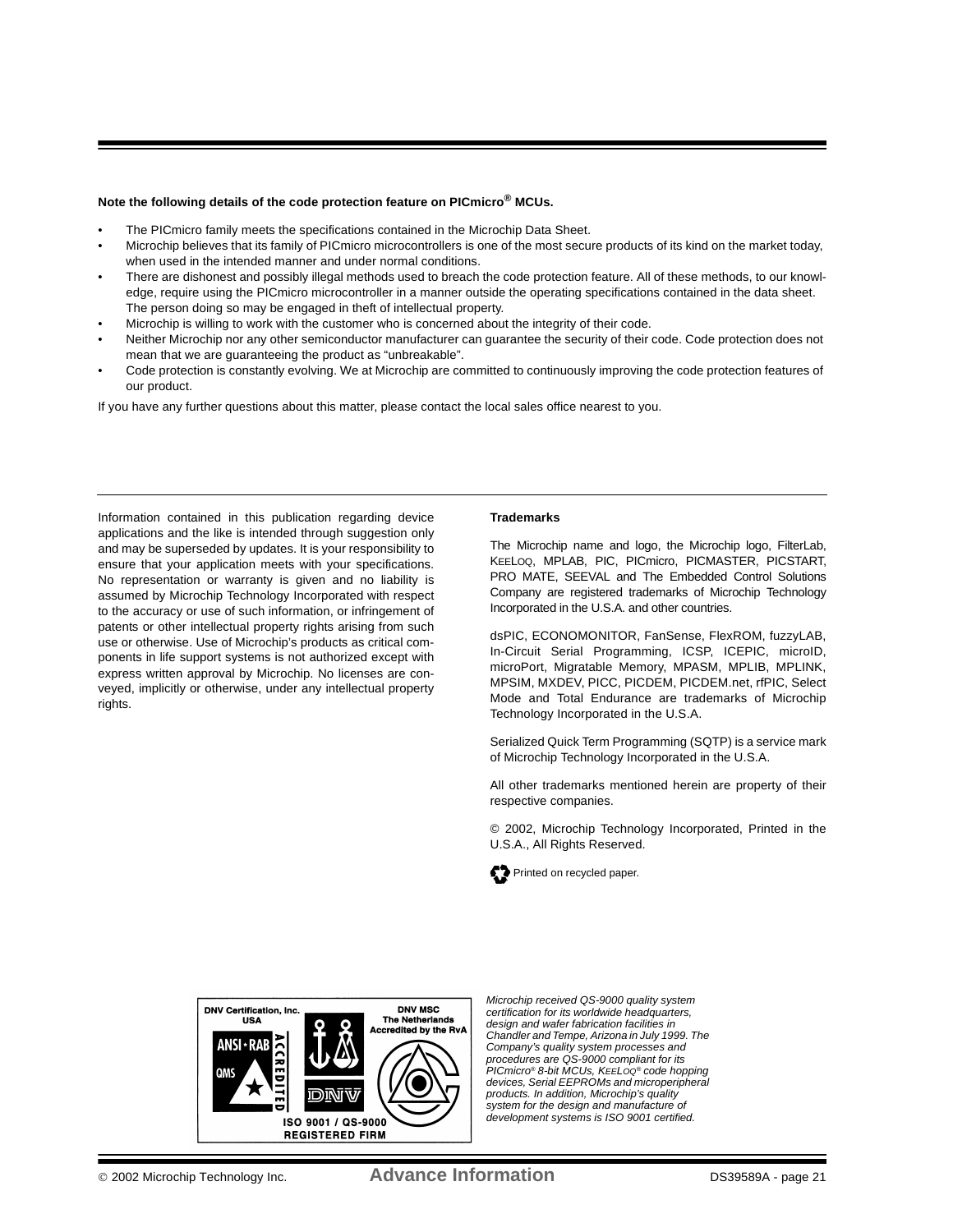#### **Note the following details of the code protection feature on PICmicro® MCUs.**

- The PICmicro family meets the specifications contained in the Microchip Data Sheet.
- Microchip believes that its family of PICmicro microcontrollers is one of the most secure products of its kind on the market today, when used in the intended manner and under normal conditions.
- There are dishonest and possibly illegal methods used to breach the code protection feature. All of these methods, to our knowledge, require using the PICmicro microcontroller in a manner outside the operating specifications contained in the data sheet. The person doing so may be engaged in theft of intellectual property.
- Microchip is willing to work with the customer who is concerned about the integrity of their code.
- Neither Microchip nor any other semiconductor manufacturer can guarantee the security of their code. Code protection does not mean that we are guaranteeing the product as "unbreakable".
- Code protection is constantly evolving. We at Microchip are committed to continuously improving the code protection features of our product.

If you have any further questions about this matter, please contact the local sales office nearest to you.

Information contained in this publication regarding device applications and the like is intended through suggestion only and may be superseded by updates. It is your responsibility to ensure that your application meets with your specifications. No representation or warranty is given and no liability is assumed by Microchip Technology Incorporated with respect to the accuracy or use of such information, or infringement of patents or other intellectual property rights arising from such use or otherwise. Use of Microchip's products as critical components in life support systems is not authorized except with express written approval by Microchip. No licenses are conveyed, implicitly or otherwise, under any intellectual property rights.

#### **Trademarks**

The Microchip name and logo, the Microchip logo, FilterLab, KEELOQ, MPLAB, PIC, PICmicro, PICMASTER, PICSTART, PRO MATE, SEEVAL and The Embedded Control Solutions Company are registered trademarks of Microchip Technology Incorporated in the U.S.A. and other countries.

dsPIC, ECONOMONITOR, FanSense, FlexROM, fuzzyLAB, In-Circuit Serial Programming, ICSP, ICEPIC, microID, microPort, Migratable Memory, MPASM, MPLIB, MPLINK, MPSIM, MXDEV, PICC, PICDEM, PICDEM.net, rfPIC, Select Mode and Total Endurance are trademarks of Microchip Technology Incorporated in the U.S.A.

Serialized Quick Term Programming (SQTP) is a service mark of Microchip Technology Incorporated in the U.S.A.

All other trademarks mentioned herein are property of their respective companies.

© 2002, Microchip Technology Incorporated, Printed in the U.S.A., All Rights Reserved.





*Microchip received QS-9000 quality system certification for its worldwide headquarters, design and wafer fabrication facilities in Chandler and Tempe, Arizona in July 1999. The Company's quality system processes and procedures are QS-9000 compliant for its PICmicro® 8-bit MCUs, KEELOQ® code hopping devices, Serial EEPROMs and microperipheral products. In addition, Microchip's quality system for the design and manufacture of development systems is ISO 9001 certified.*